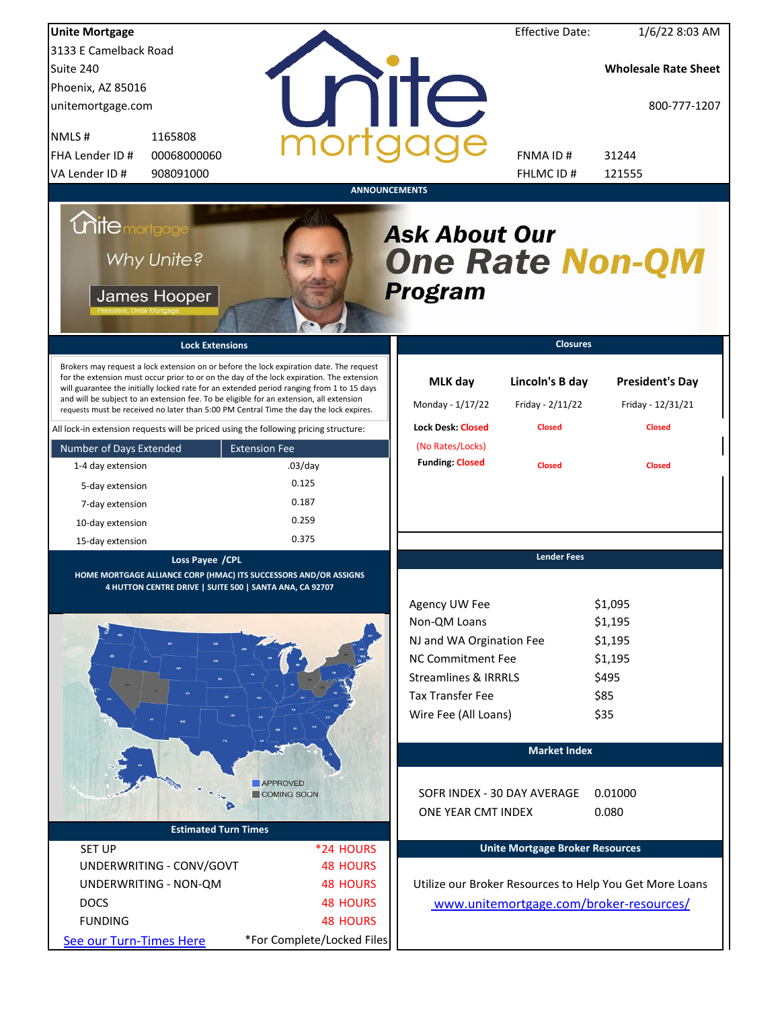| <b>Unite Mortgage</b>                                                                                                                                                                                                                                                                                                                                                                                                                                                                                                                                          |                      |                                                           | <b>Effective Date:</b>                               | $1/6/22$ 8:03 AM                                             |
|----------------------------------------------------------------------------------------------------------------------------------------------------------------------------------------------------------------------------------------------------------------------------------------------------------------------------------------------------------------------------------------------------------------------------------------------------------------------------------------------------------------------------------------------------------------|----------------------|-----------------------------------------------------------|------------------------------------------------------|--------------------------------------------------------------|
| 3133 E Camelback Road                                                                                                                                                                                                                                                                                                                                                                                                                                                                                                                                          |                      |                                                           |                                                      |                                                              |
| Suite 240                                                                                                                                                                                                                                                                                                                                                                                                                                                                                                                                                      |                      |                                                           |                                                      | <b>Wholesale Rate Sheet</b>                                  |
| Phoenix, AZ 85016                                                                                                                                                                                                                                                                                                                                                                                                                                                                                                                                              |                      |                                                           |                                                      |                                                              |
| unitemortgage.com                                                                                                                                                                                                                                                                                                                                                                                                                                                                                                                                              |                      | IC.                                                       |                                                      | 800-777-1207                                                 |
| NMLS#<br>1165808                                                                                                                                                                                                                                                                                                                                                                                                                                                                                                                                               |                      |                                                           |                                                      |                                                              |
| 00068000060<br>FHA Lender ID #                                                                                                                                                                                                                                                                                                                                                                                                                                                                                                                                 |                      |                                                           | FNMA ID#                                             | 31244                                                        |
| VA Lender ID#<br>908091000                                                                                                                                                                                                                                                                                                                                                                                                                                                                                                                                     |                      |                                                           | FHLMC ID #                                           | 121555                                                       |
|                                                                                                                                                                                                                                                                                                                                                                                                                                                                                                                                                                |                      | <b>ANNOUNCEMENTS</b>                                      |                                                      |                                                              |
| <i><b>Chitemortgage</b></i><br>Why Unite?<br>James Hooper                                                                                                                                                                                                                                                                                                                                                                                                                                                                                                      |                      | <b>Ask About Our</b><br><b>One Rate Non-QM</b><br>Program |                                                      |                                                              |
| <b>Lock Extensions</b>                                                                                                                                                                                                                                                                                                                                                                                                                                                                                                                                         |                      |                                                           | <b>Closures</b>                                      |                                                              |
| Brokers may request a lock extension on or before the lock expiration date. The request<br>for the extension must occur prior to or on the day of the lock expiration. The extension<br>will guarantee the initially locked rate for an extended period ranging from 1 to 15 days<br>and will be subject to an extension fee. To be eligible for an extension, all extension<br>requests must be received no later than 5:00 PM Central Time the day the lock expires.<br>All lock-in extension requests will be priced using the following pricing structure: |                      | MLK day<br>Monday - 1/17/22<br><b>Lock Desk: Closed</b>   | Lincoln's B day<br>Friday - 2/11/22<br><b>Closed</b> | <b>President's Day</b><br>Friday - 12/31/21<br><b>Closed</b> |
|                                                                                                                                                                                                                                                                                                                                                                                                                                                                                                                                                                | <b>Extension Fee</b> | (No Rates/Locks)                                          |                                                      |                                                              |
| Number of Days Extended                                                                                                                                                                                                                                                                                                                                                                                                                                                                                                                                        | $.03$ /day           | <b>Funding: Closed</b>                                    | <b>Closed</b>                                        | <b>Closed</b>                                                |
| 1-4 day extension                                                                                                                                                                                                                                                                                                                                                                                                                                                                                                                                              | 0.125                |                                                           |                                                      |                                                              |
| 5-day extension                                                                                                                                                                                                                                                                                                                                                                                                                                                                                                                                                |                      |                                                           |                                                      |                                                              |
| 7-day extension                                                                                                                                                                                                                                                                                                                                                                                                                                                                                                                                                | 0.187                |                                                           |                                                      |                                                              |
| 10-day extension                                                                                                                                                                                                                                                                                                                                                                                                                                                                                                                                               | 0.259                |                                                           |                                                      |                                                              |
| 15-day extension                                                                                                                                                                                                                                                                                                                                                                                                                                                                                                                                               | 0.375                |                                                           |                                                      |                                                              |
| Loss Payee / CPL<br>HOME MORTGAGE ALLIANCE CORP (HMAC) ITS SUCCESSORS AND/OR ASSIGNS<br>4 HUTTON CENTRE DRIVE   SUITE 500   SANTA ANA, CA 92707                                                                                                                                                                                                                                                                                                                                                                                                                |                      |                                                           | <b>Lender Fees</b>                                   |                                                              |
|                                                                                                                                                                                                                                                                                                                                                                                                                                                                                                                                                                |                      | Agency UW Fee                                             |                                                      | \$1,095                                                      |
|                                                                                                                                                                                                                                                                                                                                                                                                                                                                                                                                                                |                      | Non-QM Loans                                              |                                                      | \$1,195                                                      |
|                                                                                                                                                                                                                                                                                                                                                                                                                                                                                                                                                                |                      | NJ and WA Orgination Fee                                  |                                                      | \$1,195                                                      |
|                                                                                                                                                                                                                                                                                                                                                                                                                                                                                                                                                                |                      | <b>NC Commitment Fee</b>                                  |                                                      | \$1,195                                                      |
|                                                                                                                                                                                                                                                                                                                                                                                                                                                                                                                                                                |                      | <b>Streamlines &amp; IRRRLS</b>                           |                                                      | \$495                                                        |
|                                                                                                                                                                                                                                                                                                                                                                                                                                                                                                                                                                |                      | <b>Tax Transfer Fee</b>                                   |                                                      | \$85                                                         |
|                                                                                                                                                                                                                                                                                                                                                                                                                                                                                                                                                                |                      | Wire Fee (All Loans)                                      |                                                      | \$35                                                         |
|                                                                                                                                                                                                                                                                                                                                                                                                                                                                                                                                                                |                      |                                                           |                                                      |                                                              |
|                                                                                                                                                                                                                                                                                                                                                                                                                                                                                                                                                                |                      |                                                           | <b>Market Index</b>                                  |                                                              |
|                                                                                                                                                                                                                                                                                                                                                                                                                                                                                                                                                                | APPROVED             |                                                           |                                                      |                                                              |
|                                                                                                                                                                                                                                                                                                                                                                                                                                                                                                                                                                | COMING SOON          | SOFR INDEX - 30 DAY AVERAGE                               |                                                      | 0.01000                                                      |
|                                                                                                                                                                                                                                                                                                                                                                                                                                                                                                                                                                |                      | ONE YEAR CMT INDEX                                        |                                                      | 0.080                                                        |
| <b>Estimated Turn Times</b>                                                                                                                                                                                                                                                                                                                                                                                                                                                                                                                                    |                      |                                                           |                                                      |                                                              |
| <b>SET UP</b>                                                                                                                                                                                                                                                                                                                                                                                                                                                                                                                                                  | *24 HOURS            |                                                           | <b>Unite Mortgage Broker Resources</b>               |                                                              |
| UNDERWRITING - CONV/GOVT                                                                                                                                                                                                                                                                                                                                                                                                                                                                                                                                       | <b>48 HOURS</b>      |                                                           |                                                      |                                                              |
| UNDERWRITING - NON-QM                                                                                                                                                                                                                                                                                                                                                                                                                                                                                                                                          | <b>48 HOURS</b>      |                                                           |                                                      | Utilize our Broker Resources to Help You Get More Loans      |
| <b>DOCS</b>                                                                                                                                                                                                                                                                                                                                                                                                                                                                                                                                                    | <b>48 HOURS</b>      |                                                           |                                                      | www.unitemortgage.com/broker-resources/                      |
| <b>FUNDING</b>                                                                                                                                                                                                                                                                                                                                                                                                                                                                                                                                                 | <b>48 HOURS</b>      |                                                           |                                                      |                                                              |
|                                                                                                                                                                                                                                                                                                                                                                                                                                                                                                                                                                |                      |                                                           |                                                      |                                                              |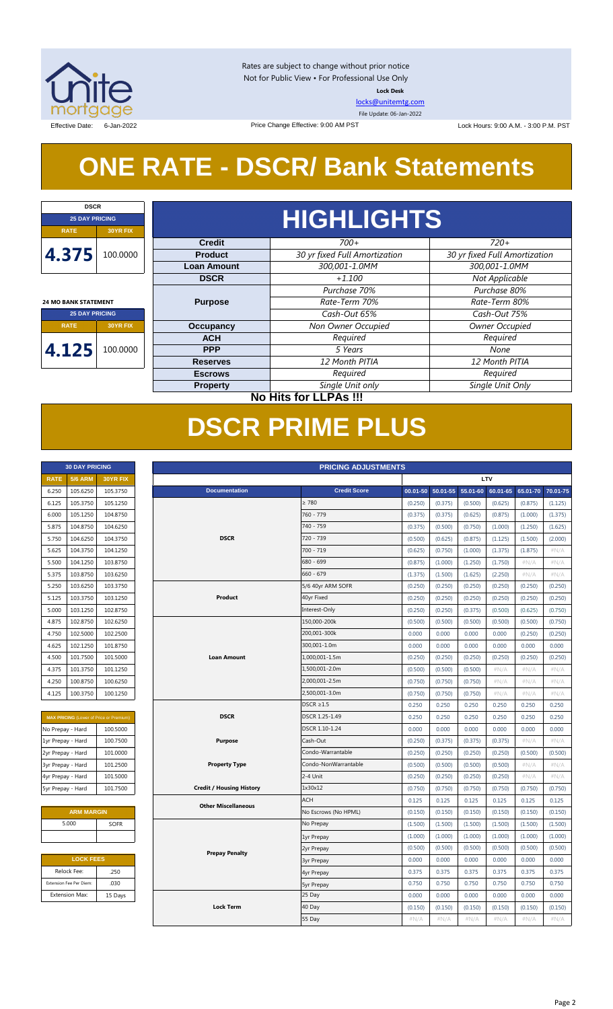

Rates are subject to change without prior notice Not for Public View • For Professional Use Only **Lock Desk**

[locks@unitemtg.com](mailto:locks@unitemtg.com)

File Update: 06-Jan-2022

Effective Date: 6-Jan-2022 **Lock Hours: 9:00 A.M. - 3:00 P.M. PST** Effective: 9:00 AM PST Lock Hours: 9:00 A.M. - 3:00 P.M. PST

# **ONE RATE - DSCR/ Bank Statements**

Price Change Effective: 9:00 AM PST

| <b>25 DAY PRICING</b>       |                 |  |
|-----------------------------|-----------------|--|
| <b>RATE</b>                 | <b>30YR FIX</b> |  |
| 4.375                       |                 |  |
|                             |                 |  |
| <b>24 MO BANK STATEMENT</b> |                 |  |
| <b>25 DAY PRICING</b>       |                 |  |
| <b>RATE</b>                 | <b>30YR FIX</b> |  |
| 4.125                       | 100.0000        |  |

 $\sqrt{ }$ 

| <b>DSCR</b>           |          |                    |                               |                               |  |  |  |  |  |  |
|-----------------------|----------|--------------------|-------------------------------|-------------------------------|--|--|--|--|--|--|
| <b>25 DAY PRICING</b> |          |                    | <b>HIGHLIGHTS</b>             |                               |  |  |  |  |  |  |
| TE.                   | 30YR FIX |                    |                               |                               |  |  |  |  |  |  |
|                       |          | <b>Credit</b>      | $700+$                        | $720+$                        |  |  |  |  |  |  |
| 75                    | 100.0000 | <b>Product</b>     | 30 yr fixed Full Amortization | 30 yr fixed Full Amortization |  |  |  |  |  |  |
|                       |          | <b>Loan Amount</b> | 300,001-1.0MM                 | 300,001-1.0MM                 |  |  |  |  |  |  |
|                       |          | <b>DSCR</b>        | $+1.100$                      | Not Applicable                |  |  |  |  |  |  |
|                       |          |                    | Purchase 70%                  | Purchase 80%                  |  |  |  |  |  |  |
| NK STATEMENT          |          | <b>Purpose</b>     | Rate-Term 70%                 | Rate-Term 80%                 |  |  |  |  |  |  |
| <b>25 DAY PRICING</b> |          |                    | Cash-Out 65%                  | Cash-Out 75%                  |  |  |  |  |  |  |
| TE.                   | 30YR FIX | <b>Occupancy</b>   | Non Owner Occupied            | Owner Occupied                |  |  |  |  |  |  |
|                       |          | <b>ACH</b>         | Required                      | Required                      |  |  |  |  |  |  |
| 25                    | 100.0000 | <b>PPP</b>         | 5 Years                       | None                          |  |  |  |  |  |  |
|                       |          | <b>Reserves</b>    | 12 Month PITIA                | 12 Month PITIA                |  |  |  |  |  |  |
|                       |          | <b>Escrows</b>     | Required                      | Required                      |  |  |  |  |  |  |
|                       |          | <b>Property</b>    | Single Unit only              | Single Unit Only              |  |  |  |  |  |  |

## **No Hits for LLPAs !!!**

# **DSCR PRIME PLUS**

|                   | <b>30 DAY PRICING</b>   |                                                | <b>PRICING ADJUSTMENTS</b> |                                 |                      |          |          |          |          |          |          |
|-------------------|-------------------------|------------------------------------------------|----------------------------|---------------------------------|----------------------|----------|----------|----------|----------|----------|----------|
| <b>RATE</b>       | <b>5/6 ARM</b>          | 30YR FIX                                       |                            |                                 |                      |          |          |          | LTV      |          |          |
| 6.250             | 105.6250                | 105.3750                                       |                            | <b>Documentation</b>            | <b>Credit Score</b>  | 00.01-50 | 50.01-55 | 55.01-60 | 60.01-65 | 65.01-70 | 70.01-75 |
| 6.125             | 105.3750                | 105.1250                                       |                            |                                 | $\geq 780$           | (0.250)  | (0.375)  | (0.500)  | (0.625)  | (0.875)  | (1.125)  |
| 6.000             | 105.1250                | 104.8750                                       |                            |                                 | 760 - 779            | (0.375)  | (0.375)  | (0.625)  | (0.875)  | (1.000)  | (1.375)  |
| 5.875             | 104.8750                | 104.6250                                       |                            |                                 | 740 - 759            | (0.375)  | (0.500)  | (0.750)  | (1.000)  | (1.250)  | (1.625)  |
| 5.750             | 104.6250                | 104.3750                                       |                            | <b>DSCR</b>                     | 720 - 739            | (0.500)  | (0.625)  | (0.875)  | (1.125)  | (1.500)  | (2.000)  |
| 5.625             | 104.3750                | 104.1250                                       |                            |                                 | $700 - 719$          | (0.625)  | (0.750)  | (1.000)  | (1.375)  | (1.875)  | #N/A     |
| 5.500             | 104.1250                | 103.8750                                       |                            |                                 | 680 - 699            | (0.875)  | (1.000)  | (1.250)  | (1.750)  | $\#N/A$  | $\#N/A$  |
| 5.375             | 103.8750                | 103.6250                                       |                            |                                 | $660 - 679$          | (1.375)  | (1.500)  | (1.625)  | (2.250)  | $\#N/A$  | $\#N/A$  |
| 5.250             | 103.6250                | 103.3750                                       |                            |                                 | 5/6 40yr ARM SOFR    | (0.250)  | (0.250)  | (0.250)  | (0.250)  | (0.250)  | (0.250)  |
| 5.125             | 103.3750                | 103.1250                                       |                            | Product                         | 40yr Fixed           | (0.250)  | (0.250)  | (0.250)  | (0.250)  | (0.250)  | (0.250)  |
| 5.000             | 103.1250                | 102.8750                                       |                            |                                 | Interest-Only        | (0.250)  | (0.250)  | (0.375)  | (0.500)  | (0.625)  | (0.750)  |
| 4.875             | 102.8750                | 102.6250                                       |                            |                                 | 150,000-200k         | (0.500)  | (0.500)  | (0.500)  | (0.500)  | (0.500)  | (0.750)  |
| 4.750             | 102.5000                | 102.2500                                       |                            |                                 | 200,001-300k         | 0.000    | 0.000    | 0.000    | 0.000    | (0.250)  | (0.250)  |
| 4.625             | 102.1250                | 101.8750                                       |                            |                                 | 300,001-1.0m         | 0.000    | 0.000    | 0.000    | 0.000    | 0.000    | 0.000    |
| 4.500             | 101.7500                | 101.5000                                       |                            | <b>Loan Amount</b>              | 1,000,001-1.5m       | (0.250)  | (0.250)  | (0.250)  | (0.250)  | (0.250)  | (0.250)  |
| 4.375             | 101.3750                | 101.1250                                       |                            |                                 | 1,500,001-2.0m       | (0.500)  | (0.500)  | (0.500)  | $\#N/A$  | #N/A     | #N/A     |
| 4.250             | 100.8750                | 100.6250                                       |                            |                                 | 2,000,001-2.5m       | (0.750)  | (0.750)  | (0.750)  | $\#N/A$  | $\#N/A$  | #N/A     |
| 4.125             | 100.3750                | 100.1250                                       |                            |                                 | 2,500,001-3.0m       | (0.750)  | (0.750)  | (0.750)  | $\#N/A$  | $\#N/A$  | #N/A     |
|                   |                         |                                                |                            |                                 | $DSCR \geq 1.5$      | 0.250    | 0.250    | 0.250    | 0.250    | 0.250    | 0.250    |
|                   |                         | <b>MAX PRICING</b> (Lower of Price or Premium) |                            | <b>DSCR</b>                     | DSCR 1.25-1.49       | 0.250    | 0.250    | 0.250    | 0.250    | 0.250    | 0.250    |
| No Prepay - Hard  |                         | 100.5000                                       |                            |                                 | DSCR 1.10-1.24       | 0.000    | 0.000    | 0.000    | 0.000    | 0.000    | 0.000    |
| 1yr Prepay - Hard |                         | 100.7500                                       |                            | <b>Purpose</b>                  | Cash-Out             | (0.250)  | (0.375)  | (0.375)  | (0.375)  | #N/A     | #N/A     |
| 2yr Prepay - Hard |                         | 101.0000                                       |                            |                                 | Condo-Warrantable    | (0.250)  | (0.250)  | (0.250)  | (0.250)  | (0.500)  | (0.500)  |
| 3yr Prepay - Hard |                         | 101.2500                                       |                            | <b>Property Type</b>            | Condo-NonWarrantable | (0.500)  | (0.500)  | (0.500)  | (0.500)  | #N/A     | #N/A     |
| 4yr Prepay - Hard |                         | 101.5000                                       |                            |                                 | 2-4 Unit             | (0.250)  | (0.250)  | (0.250)  | (0.250)  | $\#N/A$  | $\#N/A$  |
| 5yr Prepay - Hard |                         | 101.7500                                       |                            | <b>Credit / Housing History</b> | 1x30x12              | (0.750)  | (0.750)  | (0.750)  | (0.750)  | (0.750)  | (0.750)  |
|                   |                         |                                                |                            |                                 | <b>ACH</b>           | 0.125    | 0.125    | 0.125    | 0.125    | 0.125    | 0.125    |
|                   | <b>ARM MARGIN</b>       |                                                |                            | <b>Other Miscellaneous</b>      | No Escrows (No HPML) | (0.150)  | (0.150)  | (0.150)  | (0.150)  | (0.150)  | (0.150)  |
|                   | 5.000                   | <b>SOFR</b>                                    |                            |                                 | No Prepay            | (1.500)  | (1.500)  | (1.500)  | (1.500)  | (1.500)  | (1.500)  |
|                   |                         |                                                |                            |                                 | 1yr Prepay           | (1.000)  | (1.000)  | (1.000)  | (1.000)  | (1.000)  | (1.000)  |
|                   |                         |                                                |                            | <b>Prepay Penalty</b>           | 2yr Prepay           | (0.500)  | (0.500)  | (0.500)  | (0.500)  | (0.500)  | (0.500)  |
|                   | <b>LOCK FEES</b>        |                                                |                            |                                 | <b>3yr Prepay</b>    | 0.000    | 0.000    | 0.000    | 0.000    | 0.000    | 0.000    |
|                   | Relock Fee:             | .250                                           |                            |                                 | 4yr Prepay           | 0.375    | 0.375    | 0.375    | 0.375    | 0.375    | 0.375    |
|                   | Extension Fee Per Diem: | .030                                           |                            |                                 | <b>5yr Prepay</b>    | 0.750    | 0.750    | 0.750    | 0.750    | 0.750    | 0.750    |
|                   | Extension Max:          | 15 Days                                        |                            |                                 | 25 Day               | 0.000    | 0.000    | 0.000    | 0.000    | 0.000    | 0.000    |
|                   |                         |                                                |                            | <b>Lock Term</b>                | 40 Day               | (0.150)  | (0.150)  | (0.150)  | (0.150)  | (0.150)  | (0.150)  |
|                   |                         |                                                |                            |                                 | 55 Day               | $\#N/A$  | $\#N/A$  | $\#N/A$  | $\#N/A$  | $\#N/A$  | $\#N/A$  |

# **RATE 5/6 ARM 30YR FIX**

| <b>MAX PRICING</b> (Lower of Price or Premium) |          |  |  |  |  |  |  |
|------------------------------------------------|----------|--|--|--|--|--|--|
| No Prepay - Hard                               | 100.5000 |  |  |  |  |  |  |
| 1yr Prepay - Hard                              | 100.7500 |  |  |  |  |  |  |
| 2yr Prepay - Hard                              | 101.0000 |  |  |  |  |  |  |
| 3yr Prepay - Hard                              | 101.2500 |  |  |  |  |  |  |
| 4yr Prepay - Hard                              | 101.5000 |  |  |  |  |  |  |
| 5yr Prepay - Hard                              | 101.7500 |  |  |  |  |  |  |

| <b>ARM MARGIN</b> |             |  |  |  |  |  |
|-------------------|-------------|--|--|--|--|--|
| 5.000             | <b>SOFR</b> |  |  |  |  |  |
|                   |             |  |  |  |  |  |

| <b>LOCK FEES</b>        |         |  |  |  |  |
|-------------------------|---------|--|--|--|--|
| Relock Fee:             | .250    |  |  |  |  |
| Extension Fee Per Diem: | .030    |  |  |  |  |
| <b>Extension Max:</b>   | 15 Days |  |  |  |  |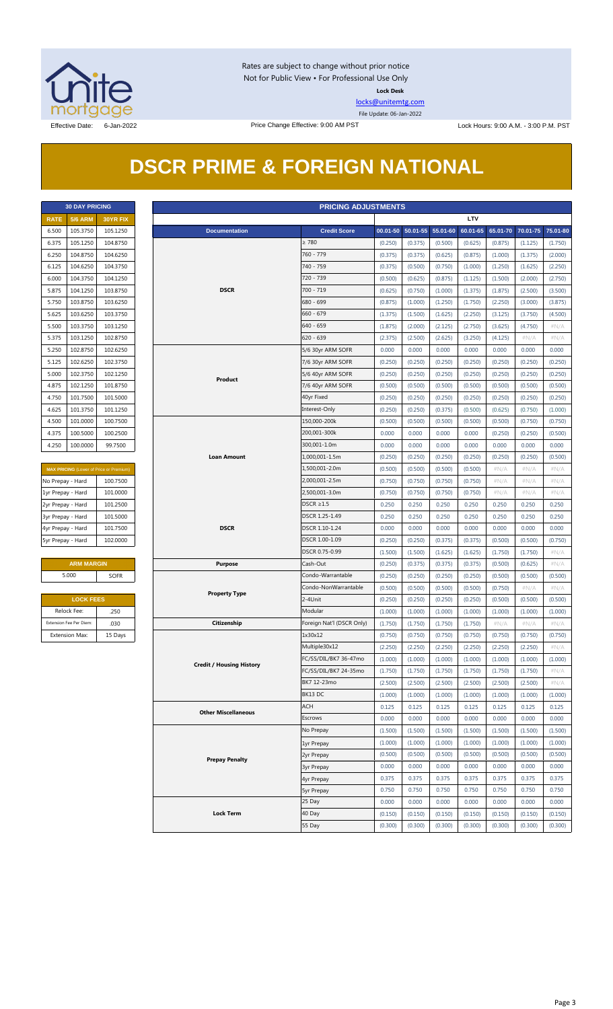

Rates are subject to change without prior notice Not for Public View • For Professional Use Only **Lock Desk**

[locks@unitemtg.com](mailto:locks@unitemtg.com)

File Update: 06-Jan-2022

# **DSCR PRIME & FOREIGN NATIONAL**

|             | <b>30 DAY PRICING</b> |                 |  |  |  |  |  |  |
|-------------|-----------------------|-----------------|--|--|--|--|--|--|
| <b>RATE</b> | <b>5/6 ARM</b>        | <b>30YR FIX</b> |  |  |  |  |  |  |
| 6.500       | 105.3750              | 105.1250        |  |  |  |  |  |  |
| 6.375       | 105.1250              | 104.8750        |  |  |  |  |  |  |
| 6.250       | 104.8750              | 104.6250        |  |  |  |  |  |  |
| 6.125       | 104.6250              | 104.3750        |  |  |  |  |  |  |
| 6.000       | 104.3750              | 104.1250        |  |  |  |  |  |  |
| 5.875       | 104.1250              | 103.8750        |  |  |  |  |  |  |
| 5.750       | 103.8750              | 103.6250        |  |  |  |  |  |  |
| 5.625       | 103.6250              | 103.3750        |  |  |  |  |  |  |
| 5.500       | 103.3750              | 103.1250        |  |  |  |  |  |  |
| 5.375       | 103.1250              | 102.8750        |  |  |  |  |  |  |
| 5.250       | 102.8750              | 102.6250        |  |  |  |  |  |  |
| 5.125       | 102.6250              | 102.3750        |  |  |  |  |  |  |
| 5.000       | 102.3750              | 102.1250        |  |  |  |  |  |  |
| 4.875       | 102.1250              | 101.8750        |  |  |  |  |  |  |
| 4.750       | 101.7500              | 101.5000        |  |  |  |  |  |  |
| 4.625       | 101.3750              | 101.1250        |  |  |  |  |  |  |
| 4.500       | 101.0000              | 100.7500        |  |  |  |  |  |  |
| 4.375       | 100.5000              | 100.2500        |  |  |  |  |  |  |
| 4.250       | 100.0000              | 99.7500         |  |  |  |  |  |  |

| <b>MAX PRICING (Lower of Price or Premium)</b> |          |  |  |  |  |  |  |
|------------------------------------------------|----------|--|--|--|--|--|--|
| No Prepay - Hard                               | 100.7500 |  |  |  |  |  |  |
| 1yr Prepay - Hard                              | 101.0000 |  |  |  |  |  |  |
| 2yr Prepay - Hard                              | 101.2500 |  |  |  |  |  |  |
| 3yr Prepay - Hard                              | 101.5000 |  |  |  |  |  |  |
| 4yr Prepay - Hard                              | 101.7500 |  |  |  |  |  |  |
| 5yr Prepay - Hard                              | 102,0000 |  |  |  |  |  |  |

| <b>ARM MARGIN</b> |      |  |  |  |  |
|-------------------|------|--|--|--|--|
| 5.000             | SOFR |  |  |  |  |

| <b>LOCK FEES</b>        |         |  |  |  |  |  |
|-------------------------|---------|--|--|--|--|--|
| Relock Fee:             | .250    |  |  |  |  |  |
| Extension Fee Per Diem: | .030    |  |  |  |  |  |
| <b>Extension Max:</b>   | 15 Days |  |  |  |  |  |

| <b>PRICING ADJUSTMENTS</b><br><b>30 DAY PRICING</b> |                         |                                         |                                 |                           |         |                   |          |            |          |          |          |
|-----------------------------------------------------|-------------------------|-----------------------------------------|---------------------------------|---------------------------|---------|-------------------|----------|------------|----------|----------|----------|
| <b>RATE</b>                                         | <b>5/6 ARM</b>          | 30YR FIX                                |                                 |                           |         |                   |          | <b>LTV</b> |          |          |          |
| 6.500                                               | 105.3750                | 105.1250                                | <b>Documentation</b>            | <b>Credit Score</b>       |         | 00.01-50 50.01-55 | 55.01-60 | 60.01-65   | 65.01-70 | 70.01-75 | 75.01-80 |
| 6.375                                               | 105.1250                | 104.8750                                |                                 | $\geq 780$                | (0.250) | (0.375)           | (0.500)  | (0.625)    | (0.875)  | (1.125)  | (1.750)  |
| 6.250                                               | 104.8750                | 104.6250                                |                                 | 760 - 779                 | (0.375) | (0.375)           | (0.625)  | (0.875)    | (1.000)  | (1.375)  | (2.000)  |
| 6.125                                               | 104.6250                | 104.3750                                |                                 | 740 - 759                 | (0.375) | (0.500)           | (0.750)  | (1.000)    | (1.250)  | (1.625)  | (2.250)  |
| 6.000                                               | 104.3750                | 104.1250                                |                                 | 720 - 739                 | (0.500) | (0.625)           | (0.875)  | (1.125)    | (1.500)  | (2.000)  | (2.750)  |
|                                                     | 104.1250                | 103.8750                                | <b>DSCR</b>                     | $700 - 719$               |         | (0.750)           | (1.000)  | (1.375)    | (1.875)  | (2.500)  | (3.500)  |
| 5.875                                               |                         |                                         |                                 | 680 - 699                 | (0.625) |                   |          |            |          |          |          |
| 5.750                                               | 103.8750                | 103.6250                                |                                 |                           | (0.875) | (1.000)           | (1.250)  | (1.750)    | (2.250)  | (3.000)  | (3.875)  |
| 5.625                                               | 103.6250                | 103.3750                                |                                 | $660 - 679$               | (1.375) | (1.500)           | (1.625)  | (2.250)    | (3.125)  | (3.750)  | (4.500)  |
| 5.500                                               | 103.3750                | 103.1250                                |                                 | $640 - 659$               | (1.875) | (2.000)           | (2.125)  | (2.750)    | (3.625)  | (4.750)  | $\#N/A$  |
| 5.375                                               | 103.1250                | 102.8750                                |                                 | $620 - 639$               | (2.375) | (2.500)           | (2.625)  | (3.250)    | (4.125)  | #N/A     | $\#N/A$  |
| 5.250                                               | 102.8750                | 102.6250                                |                                 | 5/6 30yr ARM SOFR         | 0.000   | 0.000             | 0.000    | 0.000      | 0.000    | 0.000    | 0.000    |
| 5.125                                               | 102.6250                | 102.3750                                |                                 | 7/6 30yr ARM SOFR         | (0.250) | (0.250)           | (0.250)  | (0.250)    | (0.250)  | (0.250)  | (0.250)  |
| 5.000                                               | 102.3750                | 102.1250                                | Product                         | 5/6 40yr ARM SOFR         | (0.250) | (0.250)           | (0.250)  | (0.250)    | (0.250)  | (0.250)  | (0.250)  |
| 4.875                                               | 102.1250                | 101.8750                                |                                 | 7/6 40yr ARM SOFR         | (0.500) | (0.500)           | (0.500)  | (0.500)    | (0.500)  | (0.500)  | (0.500)  |
| 4.750                                               | 101.7500                | 101.5000                                |                                 | 40yr Fixed                | (0.250) | (0.250)           | (0.250)  | (0.250)    | (0.250)  | (0.250)  | (0.250)  |
| 4.625                                               | 101.3750                | 101.1250                                |                                 | Interest-Only             | (0.250) | (0.250)           | (0.375)  | (0.500)    | (0.625)  | (0.750)  | (1.000)  |
| 4.500                                               | 101.0000                | 100.7500                                |                                 | 150,000-200k              | (0.500) | (0.500)           | (0.500)  | (0.500)    | (0.500)  | (0.750)  | (0.750)  |
| 4.375                                               | 100.5000                | 100.2500                                |                                 | 200,001-300k              | 0.000   | 0.000             | 0.000    | 0.000      | (0.250)  | (0.250)  | (0.500)  |
| 4.250                                               | 100.0000                | 99.7500                                 |                                 | 300,001-1.0m              | 0.000   | 0.000             | 0.000    | 0.000      | 0.000    | 0.000    | 0.000    |
|                                                     |                         |                                         | <b>Loan Amount</b>              | 1,000,001-1.5m            | (0.250) | (0.250)           | (0.250)  | (0.250)    | (0.250)  | (0.250)  | (0.500)  |
|                                                     |                         | MAX PRICING (Lower of Price or Premium) |                                 | 1,500,001-2.0m            | (0.500) | (0.500)           | (0.500)  | (0.500)    | $\#N/A$  | $\#N/A$  | #N/A     |
| No Prepay - Hard                                    |                         | 100.7500                                |                                 | 2,000,001-2.5m            | (0.750) | (0.750)           | (0.750)  | (0.750)    | $\#N/A$  | $\#N/A$  | # $N/A$  |
| 1yr Prepay - Hard                                   |                         | 101.0000                                |                                 | 2,500,001-3.0m            | (0.750) | (0.750)           | (0.750)  | (0.750)    | $\#N/A$  | $\#N/A$  | $\#N/A$  |
| 2yr Prepay - Hard                                   |                         | 101.2500                                |                                 | $DSCR \geq 1.5$           | 0.250   | 0.250             | 0.250    | 0.250      | 0.250    | 0.250    | 0.250    |
|                                                     |                         |                                         |                                 | DSCR 1.25-1.49            |         |                   |          |            |          |          |          |
| 3yr Prepay - Hard                                   |                         | 101.5000                                | <b>DSCR</b>                     | DSCR 1.10-1.24            | 0.250   | 0.250             | 0.250    | 0.250      | 0.250    | 0.250    | 0.250    |
| 4yr Prepay - Hard                                   |                         | 101.7500                                |                                 |                           | 0.000   | 0.000             | 0.000    | 0.000      | 0.000    | 0.000    | 0.000    |
| 5yr Prepay - Hard                                   |                         | 102.0000                                |                                 | DSCR 1.00-1.09            | (0.250) | (0.250)           | (0.375)  | (0.375)    | (0.500)  | (0.500)  | (0.750)  |
|                                                     |                         |                                         |                                 | DSCR 0.75-0.99            | (1.500) | (1.500)           | (1.625)  | (1.625)    | (1.750)  | (1.750)  | $\#N/A$  |
|                                                     | <b>ARM MARGIN</b>       |                                         | <b>Purpose</b>                  | Cash-Out                  | (0.250) | (0.375)           | (0.375)  | (0.375)    | (0.500)  | (0.625)  | $\#N/A$  |
|                                                     | 5.000                   | SOFR                                    |                                 | Condo-Warrantable         | (0.250) | (0.250)           | (0.250)  | (0.250)    | (0.500)  | (0.500)  | (0.500)  |
|                                                     |                         |                                         | <b>Property Type</b>            | Condo-NonWarrantable      | (0.500) | (0.500)           | (0.500)  | (0.500)    | (0.750)  | $\#N/A$  | #N/A     |
|                                                     | <b>LOCK FEES</b>        |                                         |                                 | 2-4Unit                   | (0.250) | (0.250)           | (0.250)  | (0.250)    | (0.500)  | (0.500)  | (0.500)  |
|                                                     | Relock Fee:             | .250                                    |                                 | Modular                   | (1.000) | (1.000)           | (1.000)  | (1.000)    | (1.000)  | (1.000)  | (1.000)  |
|                                                     | Extension Fee Per Diem: | .030                                    | Citizenship                     | Foreign Nat'l (DSCR Only) | (1.750) | (1.750)           | (1.750)  | (1.750)    | $\#N/A$  | $\#N/A$  | $\#N/A$  |
|                                                     | <b>Extension Max:</b>   | 15 Days                                 |                                 | 1x30x12                   | (0.750) | (0.750)           | (0.750)  | (0.750)    | (0.750)  | (0.750)  | (0.750)  |
|                                                     |                         |                                         |                                 | Multiple30x12             | (2.250) | (2.250)           | (2.250)  | (2.250)    | (2.250)  | (2.250)  | $\#N/A$  |
|                                                     |                         |                                         |                                 | FC/SS/DIL/BK7 36-47mo     | (1.000) | (1.000)           | (1.000)  | (1.000)    | (1.000)  | (1.000)  | (1.000)  |
|                                                     |                         |                                         | <b>Credit / Housing History</b> | FC/SS/DIL/BK7 24-35mo     | (1.750) | (1.750)           | (1.750)  | (1.750)    | (1.750)  | (1.750)  | #N/A     |
|                                                     |                         |                                         |                                 | BK7 12-23mo               | (2.500) | (2.500)           | (2.500)  | (2.500)    | (2.500)  | (2.500)  | $\#N/A$  |
|                                                     |                         |                                         |                                 | BK13 DC                   | (1.000) | (1.000)           | (1.000)  | (1.000)    | (1.000)  | (1.000)  | (1.000)  |
|                                                     |                         |                                         |                                 | ACH                       | 0.125   | 0.125             | 0.125    | 0.125      | 0.125    | 0.125    | 0.125    |
|                                                     |                         |                                         | <b>Other Miscellaneous</b>      | Escrows                   | 0.000   | 0.000             | 0.000    | 0.000      | 0.000    | 0.000    | 0.000    |
|                                                     |                         |                                         |                                 | No Prepay                 | (1.500) | (1.500)           | (1.500)  | (1.500)    | (1.500)  | (1.500)  | (1.500)  |
|                                                     |                         |                                         |                                 |                           | (1.000) | (1.000)           | (1.000)  | (1.000)    | (1.000)  | (1.000)  | (1.000)  |
|                                                     |                         |                                         |                                 | 1yr Prepay                |         |                   |          |            |          |          |          |
|                                                     |                         |                                         | <b>Prepay Penalty</b>           | 2yr Prepay                | (0.500) | (0.500)           | (0.500)  | (0.500)    | (0.500)  | (0.500)  | (0.500)  |
|                                                     |                         |                                         |                                 | <b>3yr Prepay</b>         | 0.000   | 0.000             | 0.000    | 0.000      | 0.000    | 0.000    | 0.000    |
|                                                     |                         |                                         |                                 | 4yr Prepay                | 0.375   | 0.375             | 0.375    | 0.375      | 0.375    | 0.375    | 0.375    |
|                                                     |                         |                                         |                                 | <b>5yr Prepay</b>         | 0.750   | 0.750             | 0.750    | 0.750      | 0.750    | 0.750    | 0.750    |
|                                                     |                         |                                         |                                 | 25 Day                    | 0.000   | 0.000             | 0.000    | 0.000      | 0.000    | 0.000    | 0.000    |
|                                                     |                         |                                         | <b>Lock Term</b>                | 40 Day                    | (0.150) | (0.150)           | (0.150)  | (0.150)    | (0.150)  | (0.150)  | (0.150)  |
|                                                     |                         |                                         |                                 | 55 Day                    | (0.300) | (0.300)           | (0.300)  | (0.300)    | (0.300)  | (0.300)  | (0.300)  |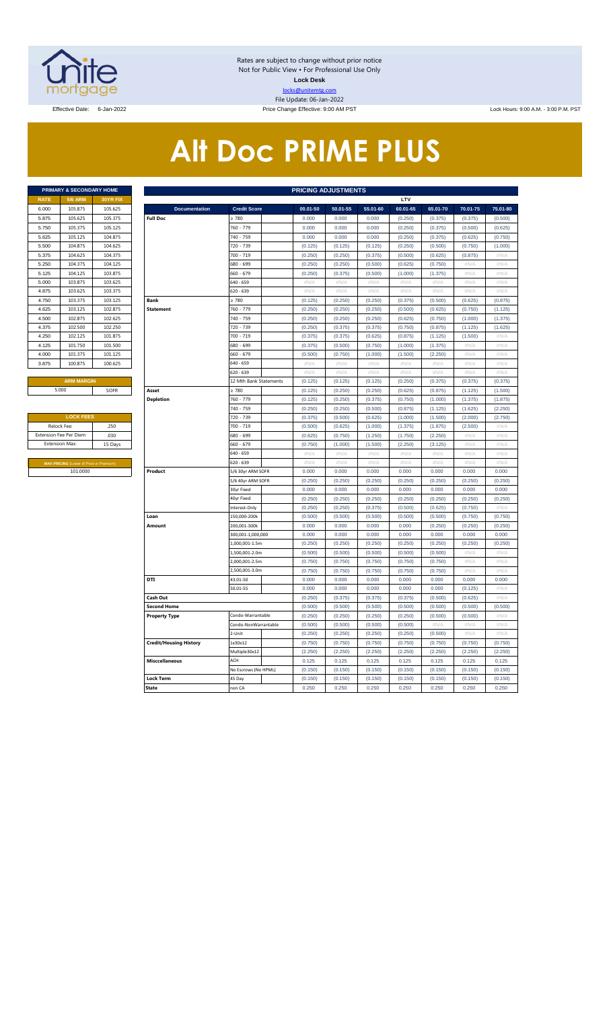

Rates are subject to change without prior notice Not for Public View • For Professional Use Only **Lock Desk** locks@unitemtg.com File Update: 06-Jan-2022

Effective Date: 6-Jan-2022 Price Change Effective: 9:00 AM PST Lock Hours: 9:00 A.M. - 3:00 P.M. PST

# **Alt Doc PRIME PLUS**

|             | <b>PRIMARY &amp; SECONDARY HOME</b> |                 |
|-------------|-------------------------------------|-----------------|
| <b>RATE</b> | <b>5/6 ARM</b>                      | <b>30YR FIX</b> |
| 6.000       | 105.875                             | 105.625         |
| 5.875       | 105.625                             | 105.375         |
| 5.750       | 105.375                             | 105.125         |
| 5.625       | 105.125                             | 104.875         |
| 5.500       | 104.875                             | 104.625         |
| 5.375       | 104.625                             | 104.375         |
| 5.250       | 104.375                             | 104.125         |
| 5.125       | 104.125                             | 103.875         |
| 5.000       | 103.875                             | 103.625         |
| 4.875       | 103.625                             | 103.375         |
| 4.750       | 103.375                             | 103.125         |
| 4.625       | 103.125                             | 102.875         |
| 4.500       | 102.875                             | 102.625         |
| 4.375       | 102.500                             | 102.250         |
| 4.250       | 102.125                             | 101.875         |
| 4.125       | 101.750                             | 101.500         |
| 4.000       | 101.375                             | 101.125         |
| 3.875       | 100.875                             | 100.625         |
|             |                                     |                 |

| <b>LOCK FEES</b>                               |         |
|------------------------------------------------|---------|
| Relock Fee:                                    | .250    |
| <b>Extension Fee Per Diem</b>                  | .030    |
| <b>Extension Max:</b>                          | 15 Days |
|                                                |         |
| <b>MAX PRICING (Lower of Price or Premium)</b> |         |
| 101.0000                                       |         |

|             | PRIMARY & SECONDARY HOME                                  |          |                               |                                 | <b>PRICING ADJUSTMENTS</b> |                  |                  |                  |                  |                  |               |
|-------------|-----------------------------------------------------------|----------|-------------------------------|---------------------------------|----------------------------|------------------|------------------|------------------|------------------|------------------|---------------|
| <b>RATE</b> | <b>5/6 ARM</b>                                            | 30YR FIX |                               |                                 |                            |                  |                  | LTV              |                  |                  |               |
| 6.000       | 105.875                                                   | 105.625  | <b>Documentation</b>          | <b>Credit Score</b>             | 00.01-50                   | 50.01-55         | 55.01-60         | 60.01-65         | 65.01-70         | 70.01-75         | 75.01-80      |
| 5.875       | 105.625                                                   | 105.375  | <b>Full Doc</b>               | 2780                            | 0.000                      | 0.000            | 0.000            | (0.250)          | (0.375)          | (0.375)          | (0.500)       |
| 5.750       | 105.375                                                   | 105.125  |                               | 760 - 779                       | 0.000                      | 0.000            | 0.000            | (0.250)          | (0.375)          | (0.500)          | (0.625)       |
| 5.625       | 105.125                                                   | 104.875  |                               | 740 - 759                       | 0.000                      | 0.000            | 0.000            | (0.250)          | (0.375)          | (0.625)          | (0.750)       |
| 5.500       | 104.875                                                   | 104.625  |                               | 720 - 739                       | (0.125)                    | (0.125)          | (0.125)          | (0.250)          | (0.500)          | (0.750)          | (1.000)       |
| 5.375       | 104.625                                                   | 104.375  |                               | 700 - 719                       | (0.250)                    | (0.250)          | (0.375)          | (0.500)          | (0.625)          | (0.875)          | $\#N/A$       |
| 5.250       | 104.375                                                   | 104.125  |                               | 680 - 699                       | (0.250)                    | (0.250)          | (0.500)          | (0.625)          | (0.750)          | #N/A             | #N/A          |
| 5.125       | 104.125                                                   | 103.875  |                               | 660 - 679                       | (0.250)                    | (0.375)          | (0.500)          | (1.000)          | (1.375)          | # $N/A$          | #N/A          |
| 5.000       | 103.875                                                   | 103.625  |                               | 640 - 659                       | #N/A                       | $\#N/A$          | $\#N/A$          | #N/A             | $\#N/A$          | #N/A             | $\#N/A$       |
| 4.875       | 103.625                                                   | 103.375  |                               | 620 - 639                       | $\#N/A$                    | $\#N/A$          | $\#N/A$          | #N/A             | $\#N/\beta$      | $\#N/F$          | $\#N/\beta$   |
| 4.750       | 103.375                                                   | 103.125  | <b>Bank</b>                   | $\geq 780$                      | (0.125)                    | (0.250)          | (0.250)          | (0.375)          | (0.500)          | (0.625)          | (0.875)       |
| 4.625       | 103.125                                                   | 102.875  | <b>Statement</b>              | 760 - 779                       | (0.250)                    | (0.250)          | (0.250)          | (0.500)          | (0.625)          | (0.750)          | (1.125)       |
| 4.500       | 102.875                                                   | 102.625  |                               | 740 - 759                       | (0.250)                    | (0.250)          | (0.250)          | (0.625)          | (0.750)          | (1.000)          | (1.375)       |
| 4.375       | 102.500                                                   | 102.250  |                               | 720 - 739                       | (0.250)                    | (0.375)          | (0.375)          | (0.750)          | (0.875)          | (1.125)          | (1.625)       |
| 4.250       | 102.125                                                   | 101.875  |                               | 700 - 719                       | (0.375)                    | (0.375)          | (0.625)          | (0.875)          | (1.125)          | (1.500)          | $\#N/A$       |
| 4.125       | 101.750                                                   | 101.500  |                               | 680 - 699                       | (0.375)                    | (0.500)          | (0.750)          | (1.000)          | (1.375)          | #N/A             | #N/A          |
| 4.000       | 101.375                                                   | 101.125  |                               | 660 - 679                       | (0.500)                    | (0.750)          | (1.000)          | (1.500)          | (2.250)          | # $N/A$          | #N/A          |
| 3.875       | 100.875                                                   | 100.625  |                               | 640 - 659                       | $\#N/A$                    | #N/A             | $\#N/A$          | $\#N/A$          | $\#N/A$          | #N/A             | $\#N/A$       |
|             |                                                           |          |                               | 620 - 639                       | #N/A                       | #N/A             | #N/A             | #N/A             | #N/A             | #N/A             | #N/A          |
|             | <b>ARM MARGIN</b>                                         |          |                               | 12 Mth Bank Statements          | (0.125)                    | (0.125)          | (0.125)          | (0.250)          | (0.375)          | (0.375)          | (0.375)       |
|             | 5.000                                                     | SOFR     | Asset                         | $\geq 780$                      | (0.125)                    | (0.250)          | (0.250)          | (0.625)          | (0.875)          | (1.125)          | (1.500)       |
|             |                                                           |          | <b>Depletion</b>              | 760 - 779                       | (0.125)                    | (0.250)          | (0.375)          | (0.750)          | (1.000)          | (1.375)          | (1.875)       |
|             |                                                           |          |                               | 740 - 759                       | (0.250)                    | (0.250)          | (0.500)          | (0.875)          | (1.125)          | (1.625)          | (2.250)       |
|             | <b>LOCK FEES</b>                                          |          |                               | 720 - 739                       | (0.375)                    | (0.500)          | (0.625)          | (1.000)          | (1.500)          | (2.000)          | (2.750)       |
| Relock Fee: |                                                           | .250     |                               | 700 - 719                       | (0.500)                    | (0.625)          | (1.000)          | (1.375)          | (1.875)          | (2.500)          | $\#N/A$       |
|             | xtension Fee Per Diem<br>.030                             |          |                               | 680 - 699                       | (0.625)                    | (0.750)          | (1.250)          | (1.750)          | (2.250)          | #N/A             | $\#N/A$       |
|             | <b>Extension Max:</b>                                     | 15 Days  |                               | 660 - 679                       | (0.750)                    | (1.000)          | (1.500)          | (2.250)          | (3.125)          | #N/A             | #N/A          |
|             |                                                           |          |                               | 640 - 659                       | #N/A                       | #N//             | # $N/A$          | #N/A             | #N/A             | #N/A             | #N/A          |
|             | <b>MAX PRICING (Lower of Price or Premium</b><br>101.0000 |          |                               | 620 - 639                       | #N/A                       | #N/A             | #N/A             | #N/A             | #N/A             | #N/A             | #N/A<br>0.000 |
|             |                                                           |          | Product                       | 5/6 30yr ARM SOFR               | 0.000                      | 0.000            | 0.000            | 0.000<br>(0.250) | 0.000<br>(0.250) | 0.000<br>(0.250) | (0.250)       |
|             |                                                           |          |                               | 5/6 40yr ARM SOFR<br>30yr Fixed | (0.250)<br>0.000           | (0.250)<br>0.000 | (0.250)<br>0.000 | 0.000            | 0.000            | 0.000            | 0.000         |
|             |                                                           |          |                               | 40yr Fixed                      | (0.250)                    | (0.250)          | (0.250)          | (0.250)          | (0.250)          | (0.250)          | (0.250)       |
|             |                                                           |          |                               | nterest-Only                    | (0.250)                    | (0.250)          | (0.375)          | (0.500)          | (0.625)          | (0.750)          | #N/A          |
|             |                                                           |          | Loan                          | 150,000-200k                    | (0.500)                    | (0.500)          | (0.500)          | (0.500)          | (0.500)          | (0.750)          | (0.750)       |
|             |                                                           |          | Amount                        | 200.001-300k                    | 0.000                      | 0.000            | 0.000            | 0.000            | (0.250)          | (0.250)          | (0.250)       |
|             |                                                           |          |                               | 300,001-1,000,000               | 0.000                      | 0.000            | 0.000            | 0.000            | 0.000            | 0.000            | 0.000         |
|             |                                                           |          |                               | 1,000,001-1.5m                  | (0.250)                    | (0.250)          | (0.250)          | (0.250)          | (0.250)          | (0.250)          | (0.250)       |
|             |                                                           |          |                               | 1,500,001-2.0m                  | (0.500)                    | (0.500)          | (0.500)          | (0.500)          | (0.500)          | #N/A             | $\#N/A$       |
|             |                                                           |          |                               | 2,000,001-2.5m                  | (0.750)                    | (0.750)          | (0.750)          | (0.750)          | (0.750)          | #N/A             | $\#N/\beta$   |
|             |                                                           |          |                               | 2,500,001-3.0m                  | (0.750)                    | (0.750)          | (0.750)          | (0.750)          | (0.750)          | #N/A             | #N/A          |
|             |                                                           |          | DTI                           | 43.01-50                        | 0.000                      | 0.000            | 0.000            | 0.000            | 0.000            | 0.000            | 0.000         |
|             |                                                           |          |                               | 50.01-55                        | 0.000                      | 0.000            | 0.000            | 0.000            | 0.000            | (0.125)          | $\#N/A$       |
|             |                                                           |          | Cash Out                      |                                 | (0.250)                    | (0.375)          | (0.375)          | (0.375)          | (0.500)          | (0.625)          | #N/A          |
|             |                                                           |          | <b>Second Home</b>            |                                 | (0.500)                    | (0.500)          | (0.500)          | (0.500)          | (0.500)          | (0.500)          | (0.500)       |
|             |                                                           |          | <b>Property Type</b>          | Condo-Warrantable               | (0.250)                    | (0.250)          | (0.250)          | (0.250)          | (0.500)          | (0.500)          | $\#N/A$       |
|             |                                                           |          |                               | Condo-NonWarrantable            | (0.500)                    | (0.500)          | (0.500)          | (0.500)          | $\#N/F$          | $\#N/F$          | $\#N/\beta$   |
|             |                                                           |          |                               | 2-Unit                          | (0.250)                    | (0.250)          | (0.250)          | (0.250)          | (0.500)          | #N/A             | #N/A          |
|             |                                                           |          | <b>Credit/Housing History</b> | 1x30x12                         | (0.750)                    | (0.750)          | (0.750)          | (0.750)          | (0.750)          | (0.750)          | (0.750)       |
|             |                                                           |          |                               | Multiple30x12                   | (2.250)                    | (2.250)          | (2.250)          | (2.250)          | (2.250)          | (2.250)          | (2.250)       |
|             |                                                           |          | <b>Misccellaneous</b>         | ACH                             | 0.125                      | 0.125            | 0.125            | 0.125            | 0.125            | 0.125            | 0.125         |
|             |                                                           |          |                               | No Escrows (No HPML)            | (0.150)                    | (0.150)          | (0.150)          | (0.150)          | (0.150)          | (0.150)          | (0.150)       |
|             |                                                           |          | <b>Lock Term</b>              | 45 Day                          | (0.150)                    | (0.150)          | (0.150)          | (0.150)          | (0.150)          | (0.150)          | (0.150)       |
|             |                                                           |          | <b>State</b>                  | non CA                          | 0.250                      | 0.250            | 0.250            | 0.250            | 0.250            | 0.250            | 0.250         |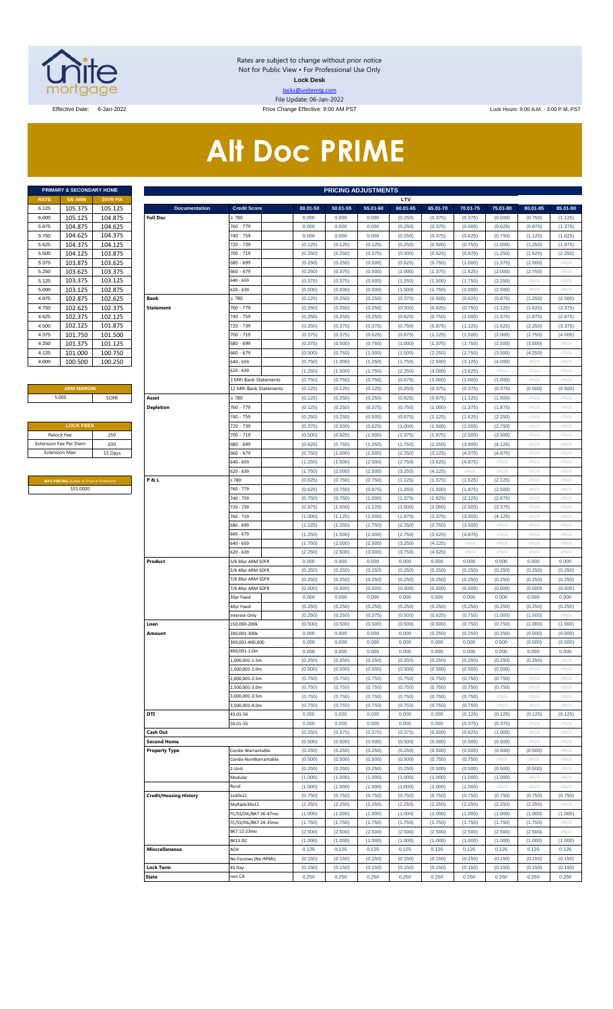

Rates are subject to change without prior notice Not for Public View • For Professional Use Only **Lock Desk** locks@unitemtg.com File Update: 06-Jan-2022

Effective Date: 6-Jan-2022 Price Change Effective: 9:00 AM PST Lock Hours: 9:00 A.M. - 3:00 P.M. PST

# **Alt Doc PRIME**

| <b>PRIMARY &amp; SECONDARY HOME</b> |                 |  |  |  |  |  |  |  |  |  |  |
|-------------------------------------|-----------------|--|--|--|--|--|--|--|--|--|--|
| <b>5/6 ARM</b>                      | <b>30YR FIX</b> |  |  |  |  |  |  |  |  |  |  |
| 105.375                             | 105.125         |  |  |  |  |  |  |  |  |  |  |
| 105.125                             | 104.875         |  |  |  |  |  |  |  |  |  |  |
| 104.875                             | 104.625         |  |  |  |  |  |  |  |  |  |  |
| 104.625                             | 104.375         |  |  |  |  |  |  |  |  |  |  |
| 104.375                             | 104.125         |  |  |  |  |  |  |  |  |  |  |
| 104.125                             | 103.875         |  |  |  |  |  |  |  |  |  |  |
| 103.875                             | 103.625         |  |  |  |  |  |  |  |  |  |  |
| 103.625                             | 103.375         |  |  |  |  |  |  |  |  |  |  |
| 103.375                             | 103.125         |  |  |  |  |  |  |  |  |  |  |
| 103.125                             | 102.875         |  |  |  |  |  |  |  |  |  |  |
| 102.875                             | 102.625         |  |  |  |  |  |  |  |  |  |  |
| 102.625                             | 102.375         |  |  |  |  |  |  |  |  |  |  |
| 102.375                             | 102.125         |  |  |  |  |  |  |  |  |  |  |
| 102.125                             | 101.875         |  |  |  |  |  |  |  |  |  |  |
| 101.750                             | 101.500         |  |  |  |  |  |  |  |  |  |  |
| 101.375                             | 101.125         |  |  |  |  |  |  |  |  |  |  |
| 101.000                             | 100.750         |  |  |  |  |  |  |  |  |  |  |
| 100.500                             | 100.250         |  |  |  |  |  |  |  |  |  |  |
|                                     |                 |  |  |  |  |  |  |  |  |  |  |

#### **ARM MARGIN** 5.000

| <b>LOCK FEES</b>              |         |
|-------------------------------|---------|
| Relock Fee:                   | .250    |
| <b>Extension Fee Per Diem</b> | .030    |
| <b>Extension Max:</b>         | 15 Days |
|                               |         |

**MAX PRICING** (Lower of Price or Premium) 101.0000

|                       | PRIMARY & SECONDARY HOME                                   |                    | <b>PRICING ADJUSTMENTS</b>              |                              |                    |                    |                    |                     |                     |                     |                     |                     |                     |
|-----------------------|------------------------------------------------------------|--------------------|-----------------------------------------|------------------------------|--------------------|--------------------|--------------------|---------------------|---------------------|---------------------|---------------------|---------------------|---------------------|
| RATE                  | <b>5/6 ARM</b>                                             | 30YR FIX           |                                         |                              |                    |                    |                    | LTV                 |                     |                     |                     |                     |                     |
| 6.125<br>6.000        | 105.375<br>105.125                                         | 105.125<br>104.875 | <b>Documentation</b><br><b>Full Doc</b> | <b>Credit Score</b><br>≥ 780 | 00.01-50<br>0.000  | 50.01-55<br>0.000  | 55.01-60<br>0.000  | 60.01-65<br>(0.250) | 65.01-70<br>(0.375) | 70.01-75<br>(0.375) | 75.01-80<br>(0.500) | 80.01-85<br>(0.750) | 85.01-90<br>(1.125) |
| 5.875                 | 104.875                                                    | 104.625            |                                         | 760 - 779                    | 0.000              | 0.000              | 0.000              | (0.250)             | (0.375)             | (0.500)             | (0.625)             | (0.875)             | (1.375)             |
| 5.750                 | 104.625                                                    | 104.375            |                                         | 740 - 759                    | 0.000              | 0.000              | 0.000              | (0.250)             | (0.375)             | (0.625)             | (0.750)             | (1.125)             | (1.625)             |
| 5.625                 | 104.375                                                    | 104.125            |                                         | 720 - 739                    | (0.125)            | (0.125)            | (0.125)            | (0.250)             | (0.500)             | (0.750)             | (1.000)             | (1.250)             | (1.875)             |
| 5.500                 | 104.125                                                    | 103.875            |                                         | 700 - 719                    | (0.250)            | (0.250)            | (0.375)            | (0.500)             | (0.625)             | (0.875)             | (1.250)             | (1.625)             | (2.250)             |
| 5.375                 | 103.875                                                    | 103.625            |                                         | 680 - 699                    | (0.250)            | (0.250)            | (0.500)            | (0.625)             | (0.750)             | (1.000)             | (1.375)             | (2.000)             | #N/A                |
| 5.250                 | 103.625                                                    | 103.375            |                                         | 660 - 679                    | (0.250)            | (0.375)            | (0.500)            | (1.000)             | (1.375)             | (1.625)             | (2.000)             | (2.750)             | #N/A                |
| 5.125                 | 103.375                                                    | 103.125            |                                         | 640 - 659                    | (0.375)            | (0.375)            | (0.500)            | (1.250)             | (1.500)             | (1.750)             | (2.250)             | $\#N/A$             | #N/A                |
| 5.000                 | 103.125                                                    | 102.875            |                                         | 620 - 639                    | (0.500)            | (0.500)            | (0.500)            | (1.500)             | (1.750)             | (2.000)             | (2.500)             | $\#N/A$             | #N/A                |
| 4.875                 | 102.875                                                    | 102.625            | Bank                                    | ≥ 780                        | (0.125)            | (0.250)            | (0.250)            | (0.375)             | (0.500)             | (0.625)             | (0.875)             | (1.250)             | (2.000)             |
| 4.750                 | 102.625                                                    | 102.375            | <b>Statement</b>                        | 760 - 779                    | (0.250)            | (0.250)            | (0.250)            | (0.500)             | (0.625)             | (0.750)             | (1.125)             | (1.625)             | (2.375)             |
| 4.625                 | 102.375                                                    | 102.125            |                                         | 740 - 759                    | (0.250)            | (0.250)            | (0.250)            | (0.625)             | (0.750)             | (1.000)             | (1.375)             | (1.875)             | (2.875)             |
| 4.500<br>4.375        | 102.125<br>101.750                                         | 101.875<br>101.500 |                                         | 720 - 739<br>700 - 719       | (0.250)<br>(0.375) | (0.375)<br>(0.375) | (0.375)<br>(0.625) | (0.750)<br>(0.875)  | (0.875)<br>(1.125)  | (1.125)<br>(1.500)  | (1.625)<br>(2.000)  | (2.250)<br>(2.750)  | (3.375)<br>(4.000)  |
| 4.250                 | 101.375                                                    | 101.125            |                                         | 680 - 699                    | (0.375)            | (0.500)            | (0.750)            | (1.000)             | (1.375)             | (1.750)             | (2.500)             | (3.500)             | #N/A                |
| 4.125                 | 101.000                                                    | 100.750            |                                         | 660 - 679                    | (0.500)            | (0.750)            | (1.000)            | (1.500)             | (2.250)             | (2.750)             | (3.500)             | (4.250)             | #N/A                |
| 4.000                 | 100.500                                                    | 100.250            |                                         | 640 - 659                    | (0.750)            | (1.000)            | (1.250)            | (1.750)             | (2.500)             | (3.125)             | (4.000)             | #N/A                | #N/A                |
|                       |                                                            |                    |                                         | 620 - 639                    | (1.250)            | (1.500)            | (1.750)            | (2.250)             | (3.000)             | (3.625)             | #N/A                | $\#N/A$             | #N/A                |
|                       |                                                            |                    |                                         | 3 Mth Bank Statements        | (0.750)            | (0.750)            | (0.750)            | (0.875)             | (1.000)             | (1.000)             | (1.000)             | $\#N/A$             | #N/A                |
|                       | <b>ARM MARGIN</b>                                          |                    |                                         | 12 Mth Bank Statements       | (0.125)            | (0.125)            | (0.125)            | (0.250)             | (0.375)             | (0.375)             | (0.375)             | (0.500)             | (0.500)             |
| 5.000                 |                                                            | SOFR               | Asset                                   | 2780                         | (0.125)            | (0.250)            | (0.250)            | (0.625)             | (0.875)             | (1.125)             | (1.500)             | #N/A                | #N/A                |
|                       |                                                            |                    | <b>Depletion</b>                        | 760 - 779                    | (0.125)            | (0.250)            | (0.375)            | (0.750)             | (1.000)             | (1.375)             | (1.875)             | #N/A                | #N/A                |
|                       |                                                            |                    |                                         | 740 - 759                    | (0.250)            | (0.250)            | (0.500)            | (0.875)             | (1.125)             | (1.625)             | (2.250)             | #N/A                | #N/A                |
|                       | <b>LOCK FEES</b>                                           |                    |                                         | 720 - 739                    | (0.375)            | (0.500)            | (0.625)            | (1.000)             | (1.500)             | (2.000)             | (2.750)             | #N/A                | #N/A                |
| Relock Fee:           |                                                            | .250               |                                         | 700 - 719                    | (0.500)            | (0.625)            | (1.000)            | (1.375)             | (1.875)             | (2.500)             | (3.500)             | #N/A                | #N/A                |
|                       | xtension Fee Per Diem                                      | .030               |                                         | 680 - 699                    | (0.625)            | (0.750)            | (1.250)            | (1.750)             | (2.250)             | (3.000)             | (4.125)             | #N/A                | #N/A                |
| <b>Extension Max:</b> |                                                            | 15 Days            |                                         | 660 - 679                    | (0.750)            | (1.000)            | (1.500)            | (2.250)             | (3.125)             | (4.375)             | (4.875)             | #N/A                | #N/A                |
|                       |                                                            |                    |                                         | 640 - 659                    | (1.250)            | (1.500)            | (2.000)            | (2.750)             | (3.625)             | (4.875)             | #N/A                | #N/A                | #N/A                |
|                       |                                                            |                    | P&L                                     | 620 - 639<br>2780            | (1.750)<br>(0.625) | (2.000)<br>(0.750) | (2.500)<br>(0.750) | (3.250)<br>(1.125)  | (4.125)<br>(1.375)  | #N/A<br>(1.625)     | #N/A<br>(2.125)     | #N/A<br>#N/A        | #N/A<br>#N/A        |
|                       | <b>MAX PRICING</b> (Lower of Price or Premium)<br>101.0000 |                    |                                         | 760 - 779                    | (0.625)            | (0.750)            | (0.875)            | (1.250)             | (1.500)             | (1.875)             | (2.500)             | #N/A                | #N/A                |
|                       |                                                            |                    |                                         | 740 - 759                    | (0.750)            | (0.750)            | (1.000)            | (1.375)             | (1.625)             | (2.125)             | (2.875)             | #N/A                | #N/A                |
|                       |                                                            |                    |                                         | 720 - 739                    | (0.875)            | (1.000)            | (1.125)            | (1.500)             | (2.000)             | (2.500)             | (3.375)             | #N/A                | #N/A                |
|                       |                                                            |                    |                                         | 700 - 719                    | (1.000)            | (1.125)            | (1.500)            | (1.875)             | (2.375)             | (3.000)             | (4.125)             | #N/A                | #N/A                |
|                       |                                                            |                    |                                         | 680 - 699                    | (1.125)            | (1.250)            | (1.750)            | (2.250)             | (2.750)             | (3.500)             | #N/A                | #N/A                | #N/A                |
|                       |                                                            |                    |                                         | 660 - 679                    | (1.250)            | (1.500)            | (2.000)            | (2.750)             | (3.625)             | (4.875)             | #N/A                | #N/A                | #N/A                |
|                       |                                                            |                    |                                         | 640 - 659                    | (1.750)            | (2.000)            | (2.500)            | (3.250)             | (4.125)             | #N/A                | #N/A                | #N/A                | #N/A                |
|                       |                                                            |                    |                                         | 620 - 639                    | (2.250)            | (2.500)            | (3.000)            | (3.750)             | (4.625)             | #N/A                | #N/A                | #N/A                | #N/A                |
|                       |                                                            |                    | Product                                 | 5/6 30yr ARM SOFR            | 0.000              | 0.000              | 0.000              | 0.000               | 0.000               | 0.000               | 0.000               | 0.000               | 0.000               |
|                       |                                                            |                    |                                         | 5/6 40yr ARM SOFR            | (0.250)            | (0.250)            | (0.250)            | (0.250)             | (0.250)             | (0.250)             | (0.250)             | (0.250)             | (0.250)             |
|                       |                                                            |                    |                                         | 7/6 30yr ARM SOFR            | (0.250)            | (0.250)            | (0.250)            | (0.250)             | (0.250)             | (0.250)             | (0.250)             | (0.250)             | (0.250)             |
|                       |                                                            |                    |                                         | 7/6 40yr ARM SOFR            | (0.500)            | (0.500)            | (0.500)            | (0.500)             | (0.500)             | (0.500)             | (0.500)             | (0.500)             | (0.500)             |
|                       |                                                            |                    |                                         | 30yr Fixed                   | 0.000              | 0.000              | 0.000              | 0.000               | 0.000               | 0.000               | 0.000               | 0.000               | 0.000               |
|                       |                                                            |                    |                                         | 40yr Fixed<br>nterest-Only   | (0.250)<br>(0.250) | (0.250)<br>(0.250) | (0.250)<br>(0.375) | (0.250)<br>(0.500)  | (0.250)<br>(0.625)  | (0.250)<br>(0.750)  | (0.250)<br>(1.000)  | (0.250)<br>(1.500)  | (0.250)<br>#N/A     |
|                       |                                                            |                    | Loan                                    | 150.000-200k                 | (0.500)            | (0.500)            | (0.500)            | (0.500)             | (0.500)             | (0.750)             | (0.750)             | (1.000)             | (1.000)             |
|                       |                                                            |                    | Amount                                  | 200,001-300k                 | 0.000              | 0.000              | 0.000              | 0.000               | (0.250)             | (0.250)             | (0.250)             | (0.500)             | (0.500)             |
|                       |                                                            |                    |                                         | 300,001-400,000              | 0.000              | 0.000              | 0.000              | 0.000               | 0.000               | 0.000               | 0.000               | (0.500)             | (0.500)             |
|                       |                                                            |                    |                                         | 400,001-1.0m                 | 0.000              | 0.000              | 0.000              | 0.000               | 0.000               | 0.000               | 0.000               | 0.000               | 0.000               |
|                       |                                                            |                    |                                         | ,000,001-1.5m                | (0.250)            | (0.250)            | (0.250)            | (0.250)             | (0.250)             | (0.250)             | (0.250)             | (0.250)             | #N/A                |
|                       |                                                            |                    |                                         | ,500,001-2.0m                | (0.500)            | (0.500)            | (0.500)            | (0.500)             | (0.500)             | (0.500)             | (0.500)             | #N/A                | #N/A                |
|                       |                                                            |                    |                                         | ,000,001-2.5m                | (0.750)            | (0.750)            | (0.750)            | (0.750)             | (0.750)             | (0.750)             | (0.750)             | #N/A                | #N/A                |
|                       |                                                            |                    |                                         | ,500,001-3.0m                | (0.750)            | (0.750)            | (0.750)            | (0.750)             | (0.750)             | (0.750)             | (0.750)             | #N/A                | #N/A                |
|                       |                                                            |                    |                                         | ,000,001-3.5m                | (0.750)            | (0.750)            | (0.750)            | (0.750)             | (0.750)             | (0.750)             | #N/A                | #N/A                | #N/A                |
|                       |                                                            |                    |                                         | ,500,001-4.0m                | (0.750)            | (0.750)            | (0.750)            | (0.750)             | (0.750)             | (0.750)             | $\#N/A$             | #N/A                | #N/A                |
|                       |                                                            |                    | <b>DTI</b>                              | 13.01-50                     | 0.000              | 0.000              | 0.000              | 0.000               | 0.000               | (0.125)             | (0.125)             | (0.125)             | (0.125)             |
|                       |                                                            |                    |                                         | 50.01-55                     | 0.000              | 0.000              | 0.000              | 0.000               | 0.000               | (0.375)             | (0.375)             | #N/A                | #N/A                |
|                       |                                                            |                    | Cash Out<br><b>Second Home</b>          |                              | (0.250)<br>(0.500) | (0.375)<br>(0.500) | (0.375)<br>(0.500) | (0.375)<br>(0.500)  | (0.500)<br>(0.500)  | (0.625)<br>(0.500)  | (1.000)<br>(0.500)  | #N/A<br>#N/A        | #N/A<br>#N/A        |
|                       |                                                            |                    | <b>Property Type</b>                    | Condo-Warrantable            | (0.250)            | (0.250)            | (0.250)            | (0.250)             | (0.500)             | (0.500)             | (0.500)             | (0.500)             | #N/A                |
|                       |                                                            |                    |                                         | Condo-NonWarrantable         | (0.500)            | (0.500)            | (0.500)            | (0.500)             | (0.750)             | (0.750)             | $\#N/A$             | #N/A                | #N/A                |
|                       |                                                            |                    |                                         | 2-Unit                       | (0.250)            | (0.250)            | (0.250)            | (0.250)             | (0.500)             | (0.500)             | (0.500)             | (0.500)             | #N/A                |
|                       |                                                            |                    |                                         | Modular                      | (1.000)            | (1.000)            | (1.000)            | (1.000)             | (1.000)             | (1.000)             | (1.000)             | #N/A                | #N/A                |
|                       |                                                            |                    |                                         | Rural                        | (1.000)            | (1.000)            | (1.000)            | (1.000)             | (1.000)             | (1.000)             | #N/A                | #N/A                | #N/A                |
|                       |                                                            |                    | <b>Credit/Housing History</b>           | 1x30x12                      | (0.750)            | (0.750)            | (0.750)            | (0.750)             | (0.750)             | (0.750)             | (0.750)             | (0.750)             | (0.750)             |
|                       |                                                            |                    |                                         | Multiple30x12                | (2.250)            | (2.250)            | (2.250)            | (2.250)             | (2.250)             | (2.250)             | (2.250)             | (2.250)             | #N/A                |
|                       |                                                            |                    |                                         | C/SS/DIL/BK7 36-47mo         | (1.000)            | (1.000)            | (1.000)            | (1.000)             | (1.000)             | (1.000)             | (1.000)             | (1.000)             | (1.000)             |
|                       |                                                            |                    |                                         | C/SS/DIL/BK7 24-35mo         | (1.750)            | (1.750)            | (1.750)            | (1.750)             | (1.750)             | (1.750)             | (1.750)             | (1.750)             | #N/A                |
|                       |                                                            |                    |                                         | BK7 12-23mo                  | (2.500)            | (2.500)            | (2.500)            | (2.500)             | (2.500)             | (2.500)             | (2.500)             | (2.500)             | #N/A                |
|                       |                                                            |                    |                                         | 3K13 DC                      | (1.000)            | (1.000)            | (1.000)            | (1.000)             | (1.000)             | (1.000)             | (1.000)             | (1.000)             | (1.000)             |
|                       |                                                            |                    | <b>Misccellaneous</b>                   | ACH<br>No Escrows (No HPML)  | 0.125              | 0.125              | 0.125              | 0.125<br>(0.150)    | 0.125               | 0.125<br>(0.150)    | 0.125               | 0.125<br>(0.150)    | 0.125<br>(0.150)    |
|                       |                                                            |                    | <b>Lock Term</b>                        | 45 Day                       | (0.150)<br>(0.150) | (0.150)<br>(0.150) | (0.150)<br>(0.150) | (0.150)             | (0.150)<br>(0.150)  | (0.150)             | (0.150)<br>(0.150)  | (0.150)             | (0.150)             |
|                       |                                                            |                    | State                                   | on CA                        | 0.250              | 0.250              | 0.250              | 0.250               | 0.250               | 0.250               | 0.250               | 0.250               | 0.250               |
|                       |                                                            |                    |                                         |                              |                    |                    |                    |                     |                     |                     |                     |                     |                     |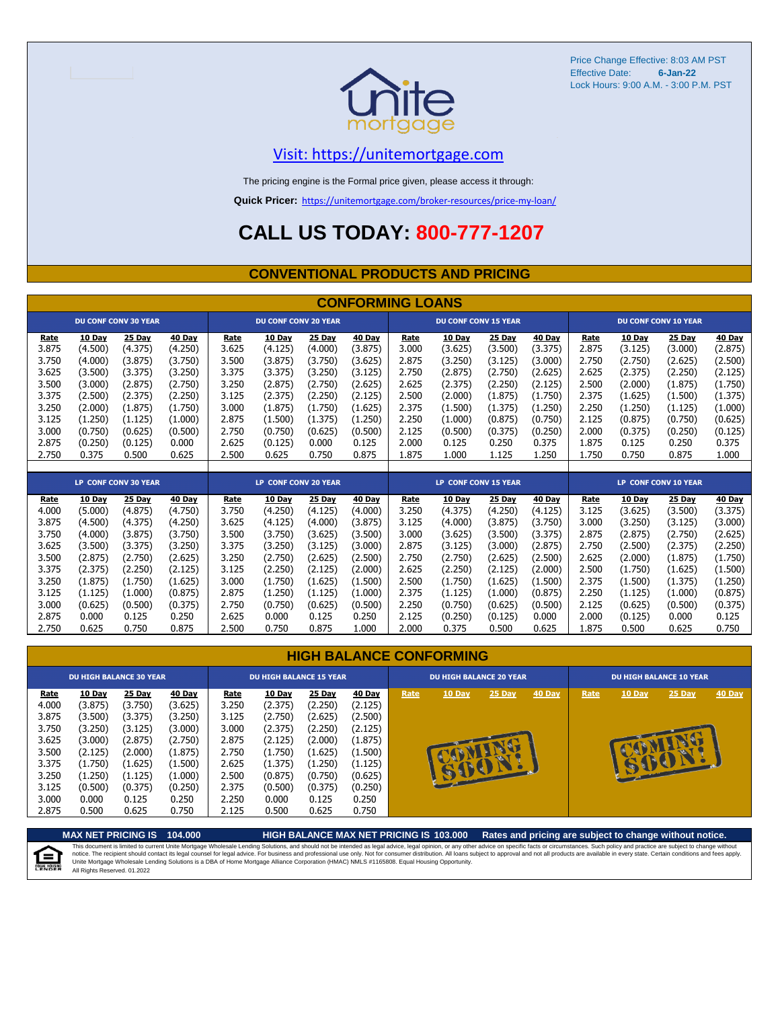

Price Change Effective: 8:03 AM PST Effective Date: Lock Hours: 9:00 A.M. - 3:00 P.M. PST **6-Jan-22**

## [V](https://unitemortgage.com/)isit: https://unitemortgage.com

The pricing engine is the Formal price given, please access it through:

**Quick Pricer:** [https://un](https://unitemortgage.com/broker-resources/price-my-loan/)itemortgage.com/broker-resources/price-my-loan/

# **CALL US TODAY: 800-777-1207**

#### **CONVENTIONAL PRODUCTS AND PRICING**

|       | <b>CONFORMING LOANS</b> |                             |         |       |                             |                             |               |       |                             |               |               |       |               |                             |               |
|-------|-------------------------|-----------------------------|---------|-------|-----------------------------|-----------------------------|---------------|-------|-----------------------------|---------------|---------------|-------|---------------|-----------------------------|---------------|
|       |                         | <b>DU CONF CONV 30 YEAR</b> |         |       | <b>DU CONF CONV 20 YEAR</b> |                             |               |       | <b>DU CONF CONV 15 YEAR</b> |               |               |       |               | <b>DU CONF CONV 10 YEAR</b> |               |
| Rate  | 10 Day                  | 25 Day                      | 40 Day  | Rate  | 10 Day                      | 25 Day                      | 40 Day        | Rate  | 10 Day                      | 25 Day        | 40 Day        | Rate  | 10 Day        | 25 Day                      | 40 Day        |
| 3.875 | (4.500)                 | (4.375)                     | (4.250) | 3.625 | (4.125)                     | (4.000)                     | (3.875)       | 3.000 | (3.625)                     | (3.500)       | (3.375)       | 2.875 | (3.125)       | (3.000)                     | (2.875)       |
| 3.750 | (4.000)                 | (3.875)                     | (3.750) | 3.500 | (3.875)                     | (3.750)                     | (3.625)       | 2.875 | (3.250)                     | (3.125)       | (3.000)       | 2.750 | (2.750)       | (2.625)                     | (2.500)       |
| 3.625 | (3.500)                 | (3.375)                     | (3.250) | 3.375 | (3.375)                     | (3.250)                     | (3.125)       | 2.750 | (2.875)                     | (2.750)       | (2.625)       | 2.625 | (2.375)       | (2.250)                     | (2.125)       |
| 3.500 | (3.000)                 | (2.875)                     | (2.750) | 3.250 | (2.875)                     | (2.750)                     | (2.625)       | 2.625 | (2.375)                     | (2.250)       | (2.125)       | 2.500 | (2.000)       | (1.875)                     | (1.750)       |
| 3.375 | (2.500)                 | (2.375)                     | (2.250) | 3.125 | (2.375)                     | (2.250)                     | (2.125)       | 2.500 | (2.000)                     | (1.875)       | (1.750)       | 2.375 | (1.625)       | (1.500)                     | (1.375)       |
| 3.250 | (2.000)                 | (1.875)                     | (1.750) | 3.000 | (1.875)                     | (1.750)                     | (1.625)       | 2.375 | (1.500)                     | (1.375)       | (1.250)       | 2.250 | (1.250)       | (1.125)                     | (1.000)       |
| 3.125 | (1.250)                 | (1.125)                     | (1.000) | 2.875 | (1.500)                     | (1.375)                     | (1.250)       | 2.250 | (1.000)                     | (0.875)       | (0.750)       | 2.125 | (0.875)       | (0.750)                     | (0.625)       |
| 3.000 | (0.750)                 | (0.625)                     | (0.500) | 2.750 | (0.750)                     | (0.625)                     | (0.500)       | 2.125 | (0.500)                     | (0.375)       | (0.250)       | 2.000 | (0.375)       | (0.250)                     | (0.125)       |
| 2.875 | (0.250)                 | (0.125)                     | 0.000   | 2.625 | (0.125)                     | 0.000                       | 0.125         | 2.000 | 0.125                       | 0.250         | 0.375         | 1.875 | 0.125         | 0.250                       | 0.375         |
| 2.750 | 0.375                   | 0.500                       | 0.625   | 2.500 | 0.625                       | 0.750                       | 0.875         | 1.875 | 1.000                       | 1.125         | 1.250         | 1.750 | 0.750         | 0.875                       | 1.000         |
|       |                         |                             |         |       |                             |                             |               |       |                             |               |               |       |               |                             |               |
|       |                         | <b>LP CONF CONV 30 YEAR</b> |         |       |                             | <b>LP CONF CONV 20 YEAR</b> |               |       | <b>LP CONF CONV 15 YEAR</b> |               |               |       |               | <b>LP CONF CONV 10 YEAR</b> |               |
| Rate  | 10 Day                  | 25 Day                      | 40 Day  | Rate  | 10 Day                      | 25 Day                      | <b>40 Day</b> | Rate  | 10 Day                      | <b>25 Day</b> | <b>40 Day</b> | Rate  | <b>10 Day</b> | 25 Day                      | <b>40 Day</b> |
| 4.000 | (5.000)                 | (4.875)                     | (4.750) | 3.750 | (4.250)                     | (4.125)                     | (4.000)       | 3.250 | (4.375)                     | (4.250)       | (4.125)       | 3.125 | (3.625)       | (3.500)                     | (3.375)       |
| 3.875 | (4.500)                 | (4.375)                     | (4.250) | 3.625 | (4.125)                     | (4.000)                     | (3.875)       | 3.125 | (4.000)                     | (3.875)       | (3.750)       | 3.000 | (3.250)       | (3.125)                     | (3.000)       |
| 3.750 | (4.000)                 | (3.875)                     | (3.750) | 3.500 | (3.750)                     | (3.625)                     | (3.500)       | 3.000 | (3.625)                     | (3.500)       | (3.375)       | 2.875 | (2.875)       | (2.750)                     | (2.625)       |
| 3.625 | (3.500)                 | (3.375)                     | (3.250) | 3.375 | (3.250)                     | (3.125)                     | (3.000)       | 2.875 | (3.125)                     | (3.000)       | (2.875)       | 2.750 | (2.500)       | (2.375)                     | (2.250)       |
| 3.500 | (2.875)                 | (2.750)                     | (2.625) | 3.250 | (2.750)                     | (2.625)                     | (2.500)       | 2.750 | (2.750)                     | (2.625)       | (2.500)       | 2.625 | (2.000)       | (1.875)                     | (1.750)       |
| 3.375 | (2.375)                 | (2.250)                     | (2.125) | 3.125 | (2.250)                     | (2.125)                     | (2.000)       | 2.625 | (2.250)                     | (2.125)       | (2.000)       | 2.500 | (1.750)       | (1.625)                     | (1.500)       |
| 3.250 | (1.875)                 | (1.750)                     | (1.625) | 3.000 | (1.750)                     | (1.625)                     | (1.500)       | 2.500 | (1.750)                     | (1.625)       | (1.500)       | 2.375 | (1.500)       | (1.375)                     | (1.250)       |
| 3.125 | (1.125)                 | (1.000)                     | (0.875) | 2.875 | (1.250)                     | (1.125)                     | (1.000)       | 2.375 | (1.125)                     | (1.000)       | (0.875)       | 2.250 | (1.125)       | (1.000)                     | (0.875)       |
| 3.000 | (0.625)                 | (0.500)                     | (0.375) | 2.750 | (0.750)                     | (0.625)                     | (0.500)       | 2.250 | (0.750)                     | (0.625)       | (0.500)       | 2.125 | (0.625)       | (0.500)                     | (0.375)       |

|  | <b>HIGH BALANCE CONFORMING</b> |  |
|--|--------------------------------|--|
|  |                                |  |

2.875 0.000 0.125 0.250 2.625 0.000 0.125 0.250 2.125 (0.250) (0.125) 0.000 2.000 (0.125) 0.000 0.125 2.750 0.625 0.750 0.875 2.500 0.750 0.875 1.000 2.000 0.375 0.500 0.625 1.875 0.500 0.625 0.750

|                                                                              | <b>DU HIGH BALANCE 30 YEAR</b>                                                                        |                                                                                                |                                                                                                | <b>DU HIGH BALANCE 15 YEAR</b>                                               |                                                                                                       |                                                                                                |                                                                                                |      | <b>DU HIGH BALANCE 20 YEAR</b> |             |               |      | <b>DU HIGH BALANCE 10 YEAR</b> |          |               |  |  |
|------------------------------------------------------------------------------|-------------------------------------------------------------------------------------------------------|------------------------------------------------------------------------------------------------|------------------------------------------------------------------------------------------------|------------------------------------------------------------------------------|-------------------------------------------------------------------------------------------------------|------------------------------------------------------------------------------------------------|------------------------------------------------------------------------------------------------|------|--------------------------------|-------------|---------------|------|--------------------------------|----------|---------------|--|--|
| Rate<br>4.000<br>3.875<br>3.750<br>3.625<br>3.500<br>3.375<br>3.250<br>3.125 | <b>10 Day</b><br>(3.875)<br>(3.500)<br>(3.250)<br>(3.000)<br>(2.125)<br>(1.750)<br>(1.250)<br>(0.500) | 25 Day<br>(3.750)<br>(3.375)<br>(3.125)<br>(2.875)<br>(2.000)<br>(1.625)<br>(1.125)<br>(0.375) | 40 Day<br>(3.625)<br>(3.250)<br>(3.000)<br>(2.750)<br>(1.875)<br>(1.500)<br>(1.000)<br>(0.250) | Rate<br>3.250<br>3.125<br>3.000<br>2.875<br>2.750<br>2.625<br>2.500<br>2.375 | <b>10 Day</b><br>(2.375)<br>(2.750)<br>(2.375)<br>(2.125)<br>(1.750)<br>(1.375)<br>(0.875)<br>(0.500) | 25 Day<br>(2.250)<br>(2.625)<br>(2.250)<br>(2.000)<br>(1.625)<br>(1.250)<br>(0.750)<br>(0.375) | 40 Day<br>(2.125)<br>(2.500)<br>(2.125)<br>(1.875)<br>(1.500)<br>(1.125)<br>(0.625)<br>(0.250) | Rate | 10 Day                         | 25 Day<br>æ | <b>40 Day</b> | Rate | <b>10 Day</b>                  | $25$ Day | <b>40 Day</b> |  |  |
| 3.000<br>2.875                                                               | 0.000<br>0.500                                                                                        | 0.125<br>0.625                                                                                 | 0.250<br>0.750                                                                                 | 2.250<br>2.125                                                               | 0.000<br>0.500                                                                                        | 0.125<br>0.625                                                                                 | 0.250<br>0.750                                                                                 |      |                                |             |               |      |                                |          |               |  |  |

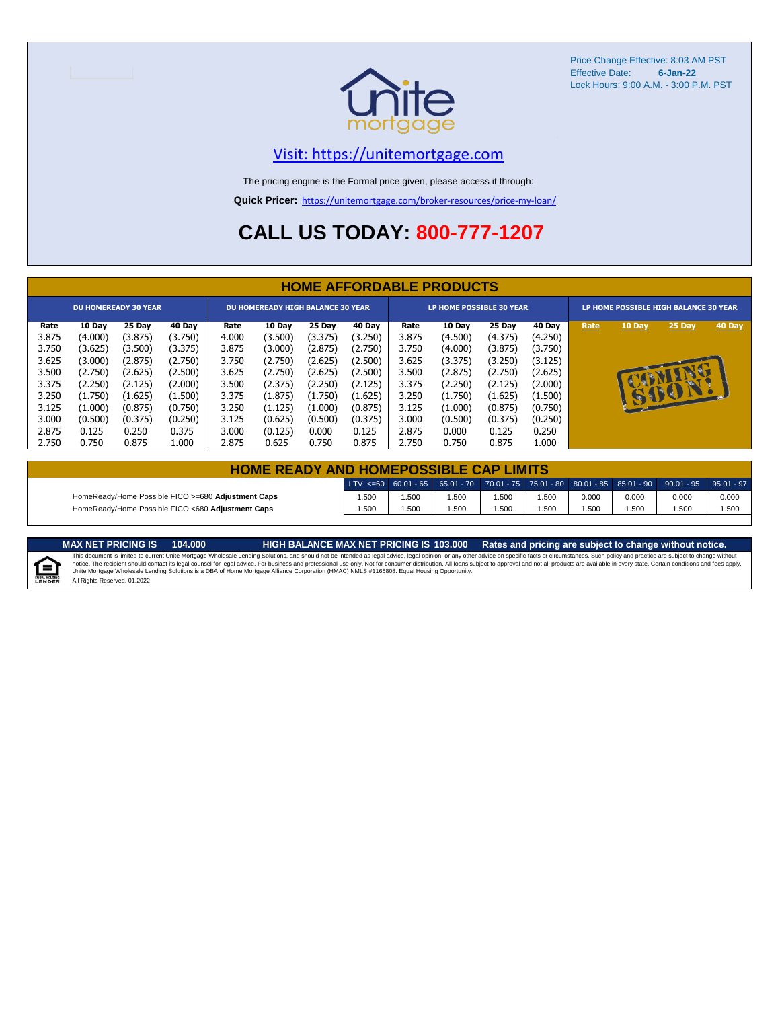

Price Change Effective: 8:03 AM PST Effective Date: **6-Jan-22** Lock Hours: 9:00 A.M. - 3:00 P.M. PST

## [V](https://unitemortgage.com/)isit: https://unitemortgage.com

The pricing engine is the Formal price given, please access it through:

**Quick Pricer:** [https://un](https://unitemortgage.com/broker-resources/price-my-loan/)itemortgage.com/broker-resources/price-my-loan/

# **CALL US TODAY: 800-777-1207**

|                             | <b>HOME AFFORDABLE PRODUCTS</b> |         |         |                                          |               |         |         |                                 |         |         |         |                                       |              |             |        |
|-----------------------------|---------------------------------|---------|---------|------------------------------------------|---------------|---------|---------|---------------------------------|---------|---------|---------|---------------------------------------|--------------|-------------|--------|
| <b>DU HOMEREADY 30 YEAR</b> |                                 |         |         | <b>DU HOMEREADY HIGH BALANCE 30 YEAR</b> |               |         |         | <b>LP HOME POSSIBLE 30 YEAR</b> |         |         |         | LP HOME POSSIBLE HIGH BALANCE 30 YEAR |              |             |        |
| <u>Rate</u>                 | 10 Day                          | 25 Day  | 40 Day  | <u>Rate</u>                              | <b>10 Day</b> | 25 Day  | 40 Day  | Rate                            | 10 Day  | 25 Day  | 40 Day  | Rate                                  | 10 Day       | 25 Day      | 40 Day |
| 3.875                       | (4.000)                         | (3.875) | (3.750) | 4.000                                    | (3.500)       | (3.375) | (3.250) | 3.875                           | (4.500) | (4.375) | (4.250) |                                       |              |             |        |
| 3.750                       | (3.625)                         | (3.500) | (3.375) | 3.875                                    | (3.000)       | (2.875) | (2.750) | 3.750                           | (4.000) | (3.875) | (3.750) |                                       |              |             |        |
| 3.625                       | (3.000)                         | (2.875) | (2.750) | 3.750                                    | (2.750)       | (2.625) | (2.500) | 3.625                           | (3.375) | (3.250) | (3.125) |                                       |              |             |        |
| 3.500                       | (2.750)                         | (2.625) | (2.500) | 3.625                                    | (2.750)       | (2.625) | (2.500) | 3.500                           | (2.875) | (2.750) | (2.625) |                                       |              | <b>ISSN</b> |        |
| 3.375                       | (2.250)                         | (2.125) | (2.000) | 3.500                                    | (2.375)       | (2.250) | (2.125) | 3.375                           | (2.250) | (2.125) | (2.000) |                                       |              |             |        |
| 3.250                       | (1.750)                         | (1.625) | (1.500) | 3.375                                    | (1.875)       | (1.750) | (1.625) | 3.250                           | (1.750) | (1.625) | (1.500) |                                       | <b>REGIS</b> | BO          |        |
| 3.125                       | (1.000)                         | (0.875) | (0.750) | 3.250                                    | (1.125)       | (1.000) | (0.875) | 3.125                           | (1.000) | (0.875) | (0.750) |                                       |              |             |        |
| 3.000                       | (0.500)                         | (0.375) | (0.250) | 3.125                                    | (0.625)       | (0.500) | (0.375) | 3.000                           | (0.500) | (0.375) | (0.250) |                                       |              |             |        |
| 2.875                       | 0.125                           | 0.250   | 0.375   | 3.000                                    | (0.125)       | 0.000   | 0.125   | 2.875                           | 0.000   | 0.125   | 0.250   |                                       |              |             |        |
| 2.750                       | 0.750                           | 0.875   | 1.000   | 2.875                                    | 0.625         | 0.750   | 0.875   | 2.750                           | 0.750   | 0.875   | L.000   |                                       |              |             |        |

| <b>HOME READY AND HOMEPOSSIBLE CAP LIMITS</b>      |      |      |      |      |       |       |       |                                                                                                  |       |  |  |  |
|----------------------------------------------------|------|------|------|------|-------|-------|-------|--------------------------------------------------------------------------------------------------|-------|--|--|--|
|                                                    |      |      |      |      |       |       |       | LTV <=60 60.01 - 65 65.01 - 70 70.01 - 75 75.01 - 80 80.01 - 85 85.01 - 90 90.01 - 95 95.01 - 97 |       |  |  |  |
| HomeReady/Home Possible FICO >=680 Adjustment Caps | .500 | .500 | .500 | .500 | 1.500 | 0.000 | 0.000 | 0.000                                                                                            | 0.000 |  |  |  |
| HomeReady/Home Possible FICO <680 Adjustment Caps  | .500 | .500 | .500 | .500 | 1.500 | .500  | .500  | .500                                                                                             | 1.500 |  |  |  |

MAX NET PRICING IS 103.000 Rates and pricing are subject to change without notice.<br>This document is limited to current Unite Mortgage Wholesale Lending Solutions, and should not be intended as legal advice, legal opinion,



All Rights Reserved. 01.2022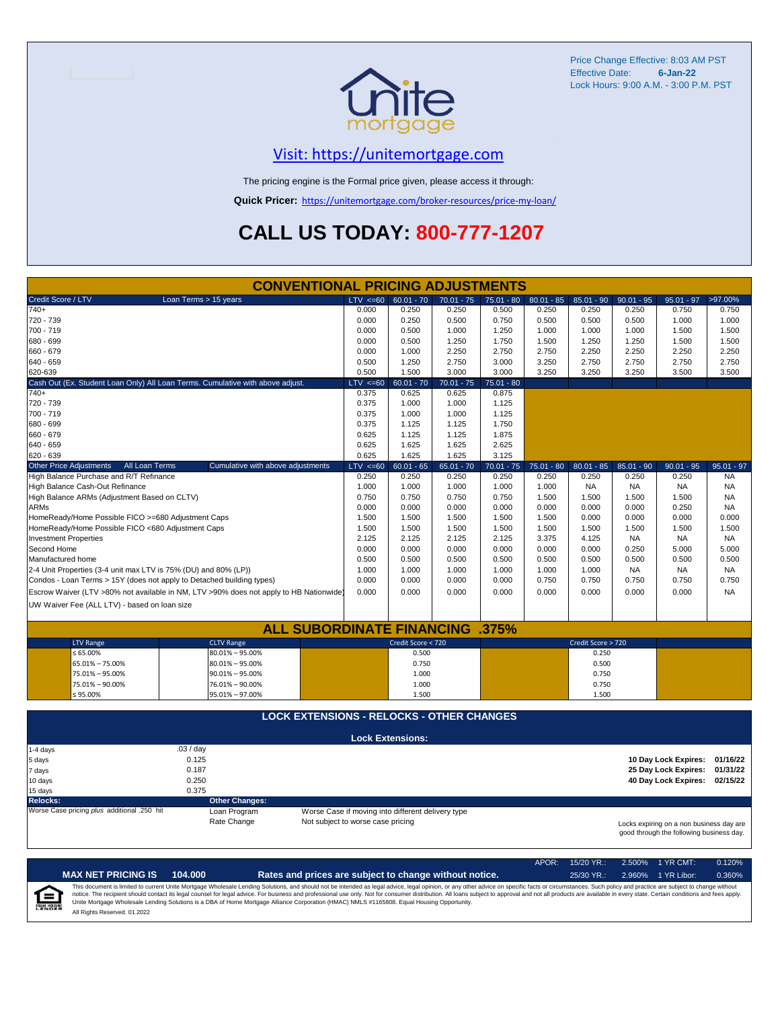

Price Change Effective: 8:03 AM PST Effective Date: **6-Jan-22** Lock Hours: 9:00 A.M. - 3:00 P.M. PST

## [V](https://unitemortgage.com/)isit: https://unitemortgage.com

The pricing engine is the Formal price given, please access it through:

**Quick Pricer:** [https://un](https://unitemortgage.com/broker-resources/price-my-loan/)itemortgage.com/broker-resources/price-my-loan/

# **CALL US TODAY: 800-777-1207**

|                                                                       | <b>CONVENTIONAL PRICING ADJUSTMENTS</b>                                                                                                                                                       |              |                         |              |              |              |                    |              |                      |              |  |  |
|-----------------------------------------------------------------------|-----------------------------------------------------------------------------------------------------------------------------------------------------------------------------------------------|--------------|-------------------------|--------------|--------------|--------------|--------------------|--------------|----------------------|--------------|--|--|
| Credit Score / LTV                                                    | Loan Terms > 15 years                                                                                                                                                                         | $LTV \le 60$ | $60.01 - 70$            | $70.01 - 75$ | $75.01 - 80$ | $80.01 - 85$ | $85.01 - 90$       | $90.01 - 95$ | $95.01 - 97$         | >97.00%      |  |  |
| $740+$                                                                |                                                                                                                                                                                               | 0.000        | 0.250                   | 0.250        | 0.500        | 0.250        | 0.250              | 0.250        | 0.750                | 0.750        |  |  |
| 720 - 739                                                             |                                                                                                                                                                                               | 0.000        | 0.250                   | 0.500        | 0.750        | 0.500        | 0.500              | 0.500        | 1.000                | 1.000        |  |  |
| 700 - 719                                                             |                                                                                                                                                                                               | 0.000        | 0.500                   | 1.000        | 1.250        | 1.000        | 1.000              | 1.000        | 1.500                | 1.500        |  |  |
| 680 - 699                                                             |                                                                                                                                                                                               | 0.000        | 0.500                   | 1.250        | 1.750        | 1.500        | 1.250              | 1.250        | 1.500                | 1.500        |  |  |
| 660 - 679                                                             |                                                                                                                                                                                               | 0.000        | 1.000                   | 2.250        | 2.750        | 2.750        | 2.250              | 2.250        | 2.250                | 2.250        |  |  |
| 640 - 659                                                             |                                                                                                                                                                                               | 0.500        | 1.250                   | 2.750        | 3.000        | 3.250        | 2.750              | 2.750        | 2.750                | 2.750        |  |  |
| 620-639                                                               |                                                                                                                                                                                               | 0.500        | 1.500                   | 3.000        | 3.000        | 3.250        | 3.250              | 3.250        | 3.500                | 3.500        |  |  |
|                                                                       | Cash Out (Ex. Student Loan Only) All Loan Terms. Cumulative with above adjust.                                                                                                                | $LTV \le 60$ | $60.01 - 70$            | $70.01 - 75$ | $75.01 - 80$ |              |                    |              |                      |              |  |  |
| $740+$                                                                |                                                                                                                                                                                               | 0.375        | 0.625                   | 0.625        | 0.875        |              |                    |              |                      |              |  |  |
| 720 - 739                                                             |                                                                                                                                                                                               | 0.375        | 1.000                   | 1.000        | 1.125        |              |                    |              |                      |              |  |  |
| 700 - 719                                                             |                                                                                                                                                                                               | 0.375        | 1.000                   | 1.000        | 1.125        |              |                    |              |                      |              |  |  |
| 680 - 699                                                             |                                                                                                                                                                                               | 0.375        | 1.125                   | 1.125        | 1.750        |              |                    |              |                      |              |  |  |
| 660 - 679                                                             |                                                                                                                                                                                               | 0.625        | 1.125                   | 1.125        | 1.875        |              |                    |              |                      |              |  |  |
| 640 - 659                                                             |                                                                                                                                                                                               | 0.625        | 1.625                   | 1.625        | 2.625        |              |                    |              |                      |              |  |  |
| 620 - 639                                                             |                                                                                                                                                                                               | 0.625        | 1.625                   | 1.625        | 3.125        |              |                    |              |                      |              |  |  |
| <b>Other Price Adjustments</b><br>All Loan Terms                      | Cumulative with above adjustments                                                                                                                                                             | $LTV \le 60$ | $60.01 - 65$            | $65.01 - 70$ | $70.01 - 75$ | $75.01 - 80$ | $80.01 - 85$       | $85.01 - 90$ | $90.01 - 95$         | $95.01 - 97$ |  |  |
| High Balance Purchase and R/T Refinance                               |                                                                                                                                                                                               | 0.250        | 0.250                   | 0.250        | 0.250        | 0.250        | 0.250              | 0.250        | 0.250                | <b>NA</b>    |  |  |
| High Balance Cash-Out Refinance                                       |                                                                                                                                                                                               | 1.000        | 1.000                   | 1.000        | 1.000        | 1.000        | <b>NA</b>          | <b>NA</b>    | <b>NA</b>            | <b>NA</b>    |  |  |
| High Balance ARMs (Adjustment Based on CLTV)                          |                                                                                                                                                                                               | 0.750        | 0.750                   | 0.750        | 0.750        | 1.500        | 1.500              | 1.500        | 1.500                | <b>NA</b>    |  |  |
| <b>ARMs</b>                                                           |                                                                                                                                                                                               | 0.000        | 0.000                   | 0.000        | 0.000        | 0.000        | 0.000              | 0.000        | 0.250                | <b>NA</b>    |  |  |
| HomeReady/Home Possible FICO >=680 Adjustment Caps                    |                                                                                                                                                                                               | 1.500        | 1.500                   | 1.500        | 1.500        | 1.500        | 0.000              | 0.000        | 0.000                | 0.000        |  |  |
| HomeReady/Home Possible FICO <680 Adjustment Caps                     |                                                                                                                                                                                               | 1.500        | 1.500                   | 1.500        | 1.500        | 1.500        | 1.500              | 1.500        | 1.500                | 1.500        |  |  |
| <b>Investment Properties</b>                                          |                                                                                                                                                                                               | 2.125        | 2.125                   | 2.125        | 2.125        | 3.375        | 4.125              | <b>NA</b>    | <b>NA</b>            | NA.          |  |  |
| Second Home                                                           |                                                                                                                                                                                               | 0.000        | 0.000                   | 0.000        | 0.000        | 0.000        | 0.000              | 0.250        | 5.000                | 5.000        |  |  |
| Manufactured home                                                     |                                                                                                                                                                                               | 0.500        | 0.500                   | 0.500        | 0.500        | 0.500        | 0.500              | 0.500        | 0.500                | 0.500        |  |  |
| 2-4 Unit Properties (3-4 unit max LTV is 75% (DU) and 80% (LP))       |                                                                                                                                                                                               | 1.000        | 1.000                   | 1.000        | 1.000        | 1.000        | 1.000              | <b>NA</b>    | <b>NA</b>            | NA.          |  |  |
| Condos - Loan Terms > 15Y (does not apply to Detached building types) |                                                                                                                                                                                               | 0.000        | 0.000                   | 0.000        | 0.000        | 0.750        | 0.750              | 0.750        | 0.750                | 0.750        |  |  |
|                                                                       | Escrow Waiver (LTV >80% not available in NM, LTV >90% does not apply to HB Nationwide)                                                                                                        | 0.000        | 0.000                   | 0.000        | 0.000        | 0.000        | 0.000              | 0.000        | 0.000                | <b>NA</b>    |  |  |
| UW Waiver Fee (ALL LTV) - based on loan size                          |                                                                                                                                                                                               |              |                         |              |              |              |                    |              |                      |              |  |  |
|                                                                       |                                                                                                                                                                                               |              |                         |              |              |              |                    |              |                      |              |  |  |
|                                                                       | <b>ALL SUBORDINATE FINANCING</b>                                                                                                                                                              |              |                         |              | $.375\%$     |              |                    |              |                      |              |  |  |
| <b>LTV Range</b>                                                      | <b>CLTV Range</b>                                                                                                                                                                             |              | Credit Score < 720      |              |              |              | Credit Score > 720 |              |                      |              |  |  |
| ≤ 65.00%                                                              | $80.01\% - 95.00\%$                                                                                                                                                                           |              | 0.500                   |              |              |              | 0.250              |              |                      |              |  |  |
| 65.01% - 75.00%                                                       | $80.01\% - 95.00\%$                                                                                                                                                                           |              | 0.750                   |              |              |              | 0.500              |              |                      |              |  |  |
| 75.01% - 95.00%                                                       | $90.01\% - 95.00\%$                                                                                                                                                                           |              | 1.000                   |              |              |              | 0.750              |              |                      |              |  |  |
| 75.01% - 90.00%                                                       | 76.01% - 90.00%                                                                                                                                                                               |              | 1.000                   |              |              |              | 0.750              |              |                      |              |  |  |
| $$95.00\%$                                                            | 95.01% - 97.00%                                                                                                                                                                               |              | 1.500                   |              |              |              | 1.500              |              |                      |              |  |  |
|                                                                       |                                                                                                                                                                                               |              |                         |              |              |              |                    |              |                      |              |  |  |
|                                                                       | <b>LOCK EXTENSIONS - RELOCKS - OTHER CHANGES</b>                                                                                                                                              |              |                         |              |              |              |                    |              |                      |              |  |  |
|                                                                       |                                                                                                                                                                                               |              | <b>Lock Extensions:</b> |              |              |              |                    |              |                      |              |  |  |
| 1-4 days                                                              | .03/day                                                                                                                                                                                       |              |                         |              |              |              |                    |              |                      |              |  |  |
| 5 days                                                                | 0.125                                                                                                                                                                                         |              |                         |              |              |              |                    |              | 10 Day Lock Expires: | 01/16/22     |  |  |
| 7 days                                                                | 0.187                                                                                                                                                                                         |              |                         |              |              |              |                    |              | 25 Day Lock Expires: | 01/31/22     |  |  |
| 10 days                                                               | 0.250                                                                                                                                                                                         |              |                         |              |              |              |                    |              | 40 Day Lock Expires: | 02/15/22     |  |  |
| 15 days                                                               | 0.375                                                                                                                                                                                         |              |                         |              |              |              |                    |              |                      |              |  |  |
| <b>Relocks:</b>                                                       | <b>Other Changes:</b>                                                                                                                                                                         |              |                         |              |              |              |                    |              |                      |              |  |  |
| Worse Case pricing plus additional .250 hit                           | Loan Program                                                                                                                                                                                  |              |                         |              |              |              |                    |              |                      |              |  |  |
|                                                                       | Worse Case if moving into different delivery type<br>Rate Change<br>Not subject to worse case pricing<br>Locks expiring on a non business day are<br>good through the following business day. |              |                         |              |              |              |                    |              |                      |              |  |  |

|                            |                              |         |                                                                                                                                                                                                                                                                                                                                                                                                                                                                                                                                                                                                                | APOR: | $15/20$ YR.: | 2.500% 1 YR CMT:   | 0.120% |
|----------------------------|------------------------------|---------|----------------------------------------------------------------------------------------------------------------------------------------------------------------------------------------------------------------------------------------------------------------------------------------------------------------------------------------------------------------------------------------------------------------------------------------------------------------------------------------------------------------------------------------------------------------------------------------------------------------|-------|--------------|--------------------|--------|
|                            | <b>MAX NET PRICING IS</b>    | 104.000 | Rates and prices are subject to change without notice.                                                                                                                                                                                                                                                                                                                                                                                                                                                                                                                                                         |       | $25/30$ YR.: | 2.960% 1 YR Libor: | 0.360% |
| ſ≘<br><b>EQUAL HOUSING</b> | All Rights Reserved, 01.2022 |         | This document is limited to current Unite Mortgage Wholesale Lending Solutions, and should not be intended as legal advice, legal opinion, or any other advice on specific facts or circumstances. Such policy and practice ar<br>notice. The recipient should contact its legal counsel for legal advice. For business and professional use only. Not for consumer distribution. All loans subject to approval and not all products are available in every stat<br>Unite Mortgage Wholesale Lending Solutions is a DBA of Home Mortgage Alliance Corporation (HMAC) NMLS #1165808. Equal Housing Opportunity. |       |              |                    |        |